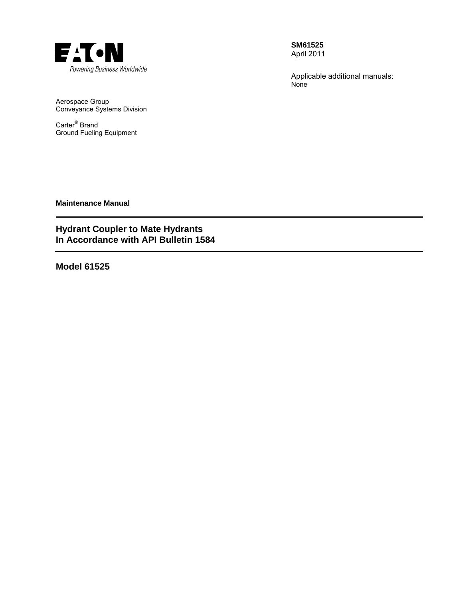

**SM61525**  April 2011

Applicable additional manuals: None

Aerospace Group Conveyance Systems Division

Carter® Brand Ground Fueling Equipment

**Maintenance Manual** 

# **Hydrant Coupler to Mate Hydrants In Accordance with API Bulletin 1584**

**Model 61525**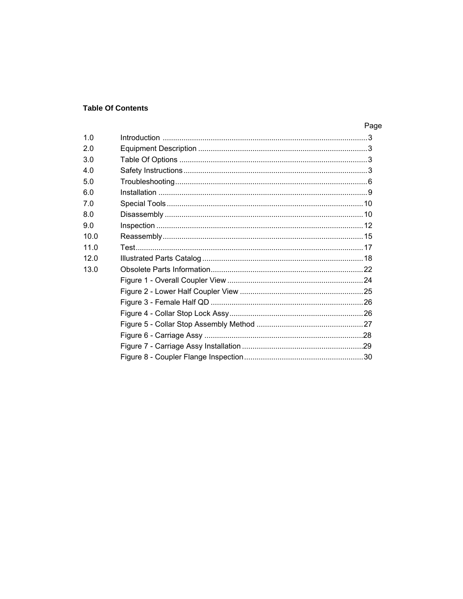# **Table Of Contents**

|      | Page |
|------|------|
| 1.0  |      |
| 2.0  |      |
| 3.0  |      |
| 4.0  |      |
| 5.0  |      |
| 6.0  |      |
| 70   |      |
| 8.0  |      |
| 9.0  |      |
| 10.0 |      |
| 11.0 |      |
| 120  |      |
| 13.0 |      |
|      |      |
|      |      |
|      |      |
|      |      |
|      |      |
|      |      |
|      |      |
|      |      |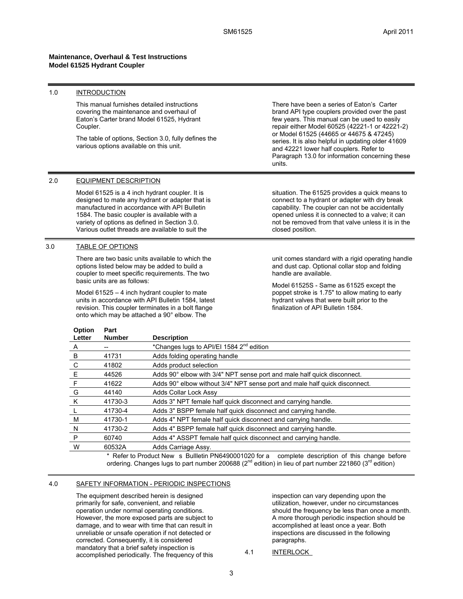#### **Maintenance, Overhaul & Test Instructions Model 61525 Hydrant Coupler**

### 1.0 INTRODUCTION

This manual furnishes detailed instructions covering the maintenance and overhaul of Eaton's Carter brand Model 61525, Hydrant Coupler.

The table of options, Section 3.0, fully defines the various options available on this unit.

There have been a series of Eaton's Carter brand API type couplers provided over the past few years. This manual can be used to easily repair either Model 60525 (42221-1 or 42221-2) or Model 61525 (44665 or 44675 & 47245) series. It is also helpful in updating older 41609 and 42221 lower half couplers. Refer to Paragraph 13.0 for information concerning these units.

### 2.0 EQUIPMENT DESCRIPTION

Model 61525 is a 4 inch hydrant coupler. It is designed to mate any hydrant or adapter that is manufactured in accordance with API Bulletin 1584. The basic coupler is available with a variety of options as defined in Section 3.0. Various outlet threads are available to suit the

### 3.0 TABLE OF OPTIONS

**Option** 

**Part** 

There are two basic units available to which the options listed below may be added to build a coupler to meet specific requirements. The two basic units are as follows:

Model 61525 – 4 inch hydrant coupler to mate units in accordance with API Bulletin 1584, latest revision. This coupler terminates in a bolt flange onto which may be attached a 90° elbow. The

situation. The 61525 provides a quick means to connect to a hydrant or adapter with dry break capability. The coupler can not be accidentally opened unless it is connected to a valve; it can not be removed from that valve unless it is in the closed position.

unit comes standard with a rigid operating handle and dust cap. Optional collar stop and folding handle are available.

Model 61525S - Same as 61525 except the poppet stroke is 1.75" to allow mating to early hydrant valves that were built prior to the finalization of API Bulletin 1584.

| <b>Number</b> | <b>Description</b>                                                         |
|---------------|----------------------------------------------------------------------------|
|               | *Changes lugs to API/EI 1584 2 <sup>nd</sup> edition                       |
| 41731         | Adds folding operating handle                                              |
| 41802         | Adds product selection                                                     |
| 44526         | Adds 90° elbow with 3/4" NPT sense port and male half quick disconnect.    |
| 41622         | Adds 90° elbow without 3/4" NPT sense port and male half quick disconnect. |
| 44140         | <b>Adds Collar Lock Assy</b>                                               |
| 41730-3       | Adds 3" NPT female half quick disconnect and carrying handle.              |
| 41730-4       | Adds 3" BSPP female half quick disconnect and carrying handle.             |
| 41730-1       | Adds 4" NPT female half quick disconnect and carrying handle.              |
| 41730-2       | Adds 4" BSPP female half quick disconnect and carrying handle.             |
| 60740         | Adds 4" ASSPT female half quick disconnect and carrying handle.            |
| 60532A        | Adds Carriage Assy.                                                        |
|               |                                                                            |

\* Refer to Product New s Bullletin PN6490001020 for a complete description of this change before ordering. Changes lugs to part number 200688 ( $2<sup>nd</sup>$  edition) in lieu of part number 221860 ( $3<sup>rd</sup>$  edition)

#### 4.0 SAFETY INFORMATION - PERIODIC INSPECTIONS

The equipment described herein is designed primarily for safe, convenient, and reliable operation under normal operating conditions. However, the more exposed parts are subject to damage, and to wear with time that can result in unreliable or unsafe operation if not detected or corrected. Consequently, it is considered mandatory that a brief safety inspection is accomplished periodically. The frequency of this inspection can vary depending upon the utilization, however, under no circumstances should the frequency be less than once a month. A more thorough periodic inspection should be accomplished at least once a year. Both inspections are discussed in the following paragraphs.

4.1 INTERLOCK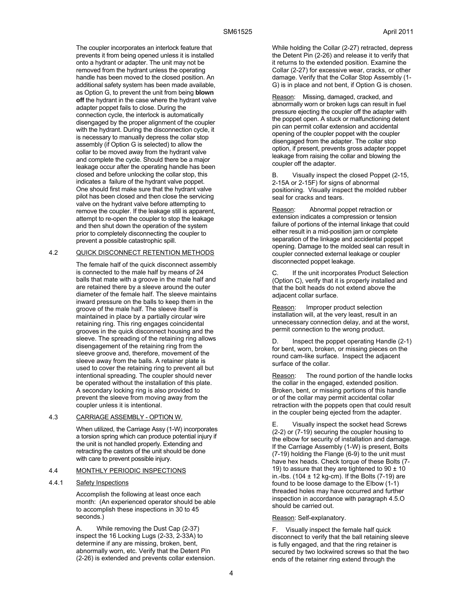The coupler incorporates an interlock feature that prevents it from being opened unless it is installed onto a hydrant or adapter. The unit may not be removed from the hydrant unless the operating handle has been moved to the closed position. An additional safety system has been made available, as Option G, to prevent the unit from being **blown off** the hydrant in the case where the hydrant valve adapter poppet fails to close. During the connection cycle, the interlock is automatically disengaged by the proper alignment of the coupler with the hydrant. During the disconnection cycle, it is necessary to manually depress the collar stop assembly (if Option G is selected) to allow the collar to be moved away from the hydrant valve and complete the cycle. Should there be a major leakage occur after the operating handle has been closed and before unlocking the collar stop, this indicates a failure of the hydrant valve poppet. One should first make sure that the hydrant valve pilot has been closed and then close the servicing valve on the hydrant valve before attempting to remove the coupler. If the leakage still is apparent, attempt to re-open the coupler to stop the leakage and then shut down the operation of the system prior to completely disconnecting the coupler to prevent a possible catastrophic spill.

### 4.2 QUICK DISCONNECT RETENTION METHODS

The female half of the quick disconnect assembly is connected to the male half by means of 24 balls that mate with a groove in the male half and are retained there by a sleeve around the outer diameter of the female half. The sleeve maintains inward pressure on the balls to keep them in the groove of the male half. The sleeve itself is maintained in place by a partially circular wire retaining ring. This ring engages coincidental grooves in the quick disconnect housing and the sleeve. The spreading of the retaining ring allows disengagement of the retaining ring from the sleeve groove and, therefore, movement of the sleeve away from the balls. A retainer plate is used to cover the retaining ring to prevent all but intentional spreading. The coupler should never be operated without the installation of this plate. A secondary locking ring is also provided to prevent the sleeve from moving away from the coupler unless it is intentional.

#### 4.3 CARRIAGE ASSEMBLY - OPTION W.

When utilized, the Carriage Assy (1-W) incorporates a torsion spring which can produce potential injury if the unit is not handled properly. Extending and retracting the castors of the unit should be done with care to prevent possible injury.

#### 4.4 MONTHLY PERIODIC INSPECTIONS

#### 4.4.1 Safety Inspections

Accomplish the following at least once each month: (An experienced operator should be able to accomplish these inspections in 30 to 45 seconds.)

While removing the Dust Cap (2-37) inspect the 16 Locking Lugs (2-33, 2-33A) to determine if any are missing, broken, bent, abnormally worn, etc. Verify that the Detent Pin (2-26) is extended and prevents collar extension. While holding the Collar (2-27) retracted, depress the Detent Pin (2-26) and release it to verify that it returns to the extended position. Examine the Collar (2-27) for excessive wear, cracks, or other damage. Verify that the Collar Stop Assembly (1- G) is in place and not bent, if Option G is chosen.

Reason: Missing, damaged, cracked, and abnormally worn or broken lugs can result in fuel pressure ejecting the coupler off the adapter with the poppet open. A stuck or malfunctioning detent pin can permit collar extension and accidental opening of the coupler poppet with the coupler disengaged from the adapter. The collar stop option, if present, prevents gross adapter poppet leakage from raising the collar and blowing the coupler off the adapter.

B. Visually inspect the closed Poppet (2-15, 2-15A or 2-15F) for signs of abnormal positioning. Visually inspect the molded rubber seal for cracks and tears.

Reason: Abnormal poppet retraction or extension indicates a compression or tension failure of portions of the internal linkage that could either result in a mid-position jam or complete separation of the linkage and accidental poppet opening. Damage to the molded seal can result in coupler connected external leakage or coupler disconnected poppet leakage.

If the unit incorporates Product Selection (Option C), verify that it is properly installed and that the bolt heads do not extend above the adjacent collar surface.

Reason: Improper product selection installation will, at the very least, result in an unnecessary connection delay, and at the worst, permit connection to the wrong product.

D. Inspect the poppet operating Handle (2-1) for bent, worn, broken, or missing pieces on the round cam-like surface. Inspect the adjacent surface of the collar.

Reason: The round portion of the handle locks the collar in the engaged, extended position. Broken, bent, or missing portions of this handle or of the collar may permit accidental collar retraction with the poppets open that could result in the coupler being ejected from the adapter.

E. Visually inspect the socket head Screws (2-2) or (7-19) securing the coupler housing to the elbow for security of installation and damage. If the Carriage Assembly (1-W) is present, Bolts (7-19) holding the Flange (6-9) to the unit must have hex heads. Check torque of these Bolts (7- 19) to assure that they are tightened to  $90 \pm 10$ in.-lbs. (104  $\pm$  12 kg-cm). If the Bolts (7-19) are found to be loose damage to the Elbow (1-1) threaded holes may have occurred and further inspection in accordance with paragraph 4.5.O should be carried out.

#### Reason: Self-explanatory.

F. Visually inspect the female half quick disconnect to verify that the ball retaining sleeve is fully engaged, and that the ring retainer is secured by two lockwired screws so that the two ends of the retainer ring extend through the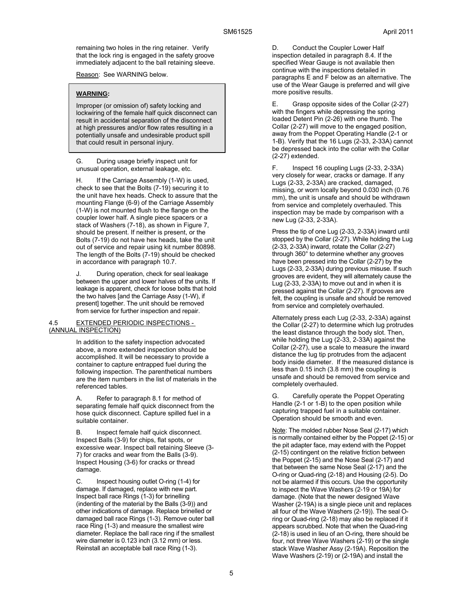remaining two holes in the ring retainer. Verify that the lock ring is engaged in the safety groove immediately adjacent to the ball retaining sleeve.

Reason: See WARNING below.

### **WARNING:**

Improper (or omission of) safety locking and lockwiring of the female half quick disconnect can result in accidental separation of the disconnect at high pressures and/or flow rates resulting in a potentially unsafe and undesirable product spill that could result in personal injury.

G. During usage briefly inspect unit for unusual operation, external leakage, etc.

H. If the Carriage Assembly (1-W) is used, check to see that the Bolts (7-19) securing it to the unit have hex heads. Check to assure that the mounting Flange (6-9) of the Carriage Assembly (1-W) is not mounted flush to the flange on the coupler lower half. A single piece spacers or a stack of Washers (7-18), as shown in Figure 7, should be present. If neither is present, or the Bolts (7-19) do not have hex heads, take the unit out of service and repair using kit number 80898. The length of the Bolts (7-19) should be checked in accordance with paragraph 10.7.

J. During operation, check for seal leakage between the upper and lower halves of the units. If leakage is apparent, check for loose bolts that hold the two halves [and the Carriage Assy (1-W), if present] together. The unit should be removed from service for further inspection and repair.

### 4.5 EXTENDED PERIODIC INSPECTIONS - (ANNUAL INSPECTION)

In addition to the safety inspection advocated above, a more extended inspection should be accomplished. It will be necessary to provide a container to capture entrapped fuel during the following inspection. The parenthetical numbers are the item numbers in the list of materials in the referenced tables.

Refer to paragraph 8.1 for method of separating female half quick disconnect from the hose quick disconnect. Capture spilled fuel in a suitable container.

B. Inspect female half quick disconnect. Inspect Balls (3-9) for chips, flat spots, or excessive wear. Inspect ball retaining Sleeve (3- 7) for cracks and wear from the Balls (3-9). Inspect Housing (3-6) for cracks or thread damage.

C. Inspect housing outlet O-ring (1-4) for damage. If damaged, replace with new part. Inspect ball race Rings (1-3) for brinelling (indenting of the material by the Balls (3-9)) and other indications of damage. Replace brinelled or damaged ball race Rings (1-3). Remove outer ball race Ring (1-3) and measure the smallest wire diameter. Replace the ball race ring if the smallest wire diameter is 0.123 inch (3.12 mm) or less. Reinstall an acceptable ball race Ring (1-3).

D. Conduct the Coupler Lower Half inspection detailed in paragraph 8.4. If the specified Wear Gauge is not available then continue with the inspections detailed in paragraphs E and F below as an alternative. The use of the Wear Gauge is preferred and will give more positive results.

E. Grasp opposite sides of the Collar (2-27) with the fingers while depressing the spring loaded Detent Pin (2-26) with one thumb. The Collar (2-27) will move to the engaged position, away from the Poppet Operating Handle (2-1 or 1-B). Verify that the 16 Lugs (2-33, 2-33A) cannot be depressed back into the collar with the Collar (2-27) extended.

F. Inspect 16 coupling Lugs (2-33, 2-33A) very closely for wear, cracks or damage. If any Lugs (2-33, 2-33A) are cracked, damaged, missing, or worn locally beyond 0.030 inch (0.76 mm), the unit is unsafe and should be withdrawn from service and completely overhauled. This inspection may be made by comparison with a new Lug (2-33, 2-33A).

Press the tip of one Lug (2-33, 2-33A) inward until stopped by the Collar (2-27). While holding the Lug (2-33, 2-33A) inward, rotate the Collar (2-27) through 360° to determine whether any grooves have been pressed into the Collar (2-27) by the Lugs (2-33, 2-33A) during previous misuse. If such grooves are evident, they will alternately cause the Lug (2-33, 2-33A) to move out and in when it is pressed against the Collar (2-27). If grooves are felt, the coupling is unsafe and should be removed from service and completely overhauled.

Alternately press each Lug (2-33, 2-33A) against the Collar (2-27) to determine which lug protrudes the least distance through the body slot. Then, while holding the Lug (2-33, 2-33A) against the Collar (2-27), use a scale to measure the inward distance the lug tip protrudes from the adjacent body inside diameter. If the measured distance is less than 0.15 inch (3.8 mm) the coupling is unsafe and should be removed from service and completely overhauled.

G. Carefully operate the Poppet Operating Handle (2-1 or 1-B) to the open position while capturing trapped fuel in a suitable container. Operation should be smooth and even.

Note: The molded rubber Nose Seal (2-17) which is normally contained either by the Poppet (2-15) or the pit adapter face, may extend with the Poppet (2-15) contingent on the relative friction between the Poppet (2-15) and the Nose Seal (2-17) and that between the same Nose Seal (2-17) and the O-ring or Quad-ring (2-18) and Housing (2-5). Do not be alarmed if this occurs. Use the opportunity to inspect the Wave Washers (2-19 or 19A) for damage. (Note that the newer designed Wave Washer (2-19A) is a single piece unit and replaces all four of the Wave Washers (2-19)). The seal Oring or Quad-ring (2-18) may also be replaced if it appears scrubbed. Note that when the Quad-ring (2-18) is used in lieu of an O-ring, there should be four, not three Wave Washers (2-19) or the single stack Wave Washer Assy (2-19A). Reposition the Wave Washers (2-19) or (2-19A) and install the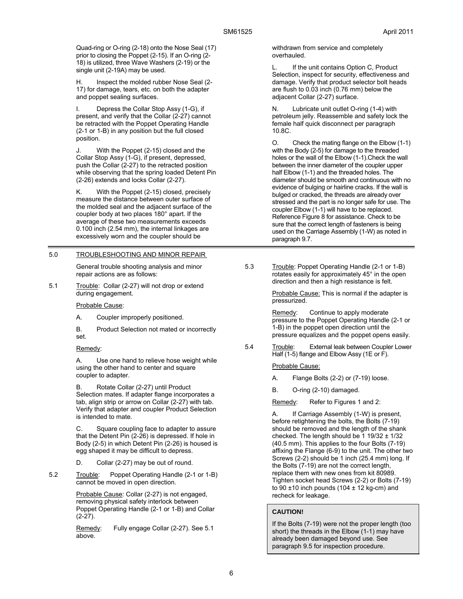Quad-ring or O-ring (2-18) onto the Nose Seal (17) prior to closing the Poppet (2-15). If an O-ring (2- 18) is utilized, three Wave Washers (2-19) or the single unit (2-19A) may be used.

Inspect the molded rubber Nose Seal (2-17) for damage, tears, etc. on both the adapter and poppet sealing surfaces.

I. Depress the Collar Stop Assy (1-G), if present, and verify that the Collar (2-27) cannot be retracted with the Poppet Operating Handle (2-1 or 1-B) in any position but the full closed position.

J. With the Poppet (2-15) closed and the Collar Stop Assy (1-G), if present, depressed, push the Collar (2-27) to the retracted position while observing that the spring loaded Detent Pin (2-26) extends and locks Collar (2-27).

K. With the Poppet (2-15) closed, precisely measure the distance between outer surface of the molded seal and the adjacent surface of the coupler body at two places 180° apart. If the average of these two measurements exceeds 0.100 inch (2.54 mm), the internal linkages are excessively worn and the coupler should be

### 5.0 TROUBLESHOOTING AND MINOR REPAIR

General trouble shooting analysis and minor repair actions are as follows:

5.1 Trouble: Collar (2-27) will not drop or extend during engagement.

#### Probable Cause:

- A. Coupler improperly positioned.
- B. Product Selection not mated or incorrectly set.

#### Remedy:

A. Use one hand to relieve hose weight while using the other hand to center and square coupler to adapter.

B. Rotate Collar (2-27) until Product Selection mates. If adapter flange incorporates a tab, align strip or arrow on Collar (2-27) with tab. Verify that adapter and coupler Product Selection is intended to mate.

C. Square coupling face to adapter to assure that the Detent Pin (2-26) is depressed. If hole in Body (2-5) in which Detent Pin (2-26) is housed is egg shaped it may be difficult to depress.

D. Collar (2-27) may be out of round.

5.2 Trouble: Poppet Operating Handle (2-1 or 1-B) cannot be moved in open direction.

> Probable Cause: Collar (2-27) is not engaged, removing physical safety interlock between Poppet Operating Handle (2-1 or 1-B) and Collar  $(2-27)$ .

Remedy: Fully engage Collar (2-27). See 5.1 above.

withdrawn from service and completely overhauled.

L. If the unit contains Option C, Product Selection, inspect for security, effectiveness and damage. Verify that product selector bolt heads are flush to 0.03 inch (0.76 mm) below the adjacent Collar (2-27) surface.

N. Lubricate unit outlet O-ring (1-4) with petroleum jelly. Reassemble and safety lock the female half quick disconnect per paragraph 10.8C.

O. Check the mating flange on the Elbow (1-1) with the Body (2-5) for damage to the threaded holes or the wall of the Elbow (1-1).Check the wall between the inner diameter of the coupler upper half Elbow (1-1) and the threaded holes. The diameter should be smooth and continuous with no evidence of bulging or hairline cracks. If the wall is bulged or cracked, the threads are already over stressed and the part is no longer safe for use. The coupler Elbow (1-1) will have to be replaced. Reference Figure 8 for assistance. Check to be sure that the correct length of fasteners is being used on the Carriage Assembly (1-W) as noted in paragraph 9.7.

5.3 Trouble: Poppet Operating Handle (2-1 or 1-B) rotates easily for approximately 45° in the open direction and then a high resistance is felt.

> Probable Cause: This is normal if the adapter is pressurized.

Remedy: Continue to apply moderate pressure to the Poppet Operating Handle (2-1 or 1-B) in the poppet open direction until the pressure equalizes and the poppet opens easily.

5.4 Trouble: External leak between Coupler Lower Half (1-5) flange and Elbow Assy (1E or F).

#### Probable Cause:

- A. Flange Bolts (2-2) or (7-19) loose.
- B. O-ring (2-10) damaged.
- Remedy: Refer to Figures 1 and 2:

A. If Carriage Assembly (1-W) is present, before retightening the bolts, the Bolts (7-19) should be removed and the length of the shank checked. The length should be  $1 19/32 \pm 1/32$ (40.5 mm). This applies to the four Bolts (7-19) affixing the Flange (6-9) to the unit. The other two Screws (2-2) should be 1 inch (25.4 mm) long. If the Bolts (7-19) are not the correct length, replace them with new ones from kit 80989. Tighten socket head Screws (2-2) or Bolts (7-19) to 90  $\pm$ 10 inch pounds (104  $\pm$  12 kg-cm) and recheck for leakage.

### **CAUTION!**

If the Bolts (7-19) were not the proper length (too short) the threads in the Elbow (1-1) may have already been damaged beyond use. See paragraph 9.5 for inspection procedure.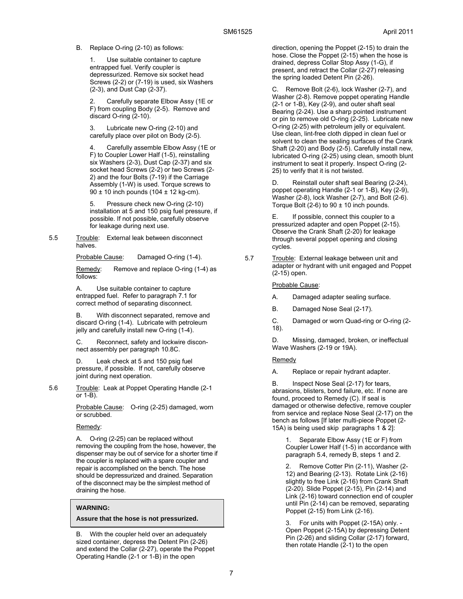#### B. Replace O-ring (2-10) as follows:

1. Use suitable container to capture entrapped fuel. Verify coupler is depressurized. Remove six socket head Screws (2-2) or (7-19) is used, six Washers (2-3), and Dust Cap (2-37).

2. Carefully separate Elbow Assy (1E or F) from coupling Body (2-5). Remove and discard O-ring (2-10).

3. Lubricate new O-ring (2-10) and carefully place over pilot on Body (2-5).

4. Carefully assemble Elbow Assy (1E or F) to Coupler Lower Half (1-5), reinstalling six Washers (2-3), Dust Cap (2-37) and six socket head Screws (2-2) or two Screws (2- 2) and the four Bolts (7-19) if the Carriage Assembly (1-W) is used. Torque screws to  $90 \pm 10$  inch pounds (104  $\pm$  12 kg-cm).

5. Pressure check new O-ring (2-10) installation at 5 and 150 psig fuel pressure, if possible. If not possible, carefully observe for leakage during next use.

#### 5.5 Trouble: External leak between disconnect halves.

Probable Cause: Damaged O-ring (1-4).

Remedy: Remove and replace O-ring (1-4) as follows:

A. Use suitable container to capture entrapped fuel. Refer to paragraph 7.1 for correct method of separating disconnect.

With disconnect separated, remove and discard O-ring (1-4). Lubricate with petroleum jelly and carefully install new O-ring (1-4).

C. Reconnect, safety and lockwire disconnect assembly per paragraph 10.8C.

Leak check at 5 and 150 psig fuel pressure, if possible. If not, carefully observe joint during next operation.

5.6 Trouble: Leak at Poppet Operating Handle (2-1 or 1-B).

> Probable Cause: O-ring (2-25) damaged, worn or scrubbed.

Remedy:

A. O-ring (2-25) can be replaced without removing the coupling from the hose, however, the dispenser may be out of service for a shorter time if the coupler is replaced with a spare coupler and repair is accomplished on the bench. The hose should be depressurized and drained. Separation of the disconnect may be the simplest method of draining the hose.

#### **WARNING:**

**Assure that the hose is not pressurized.** 

With the coupler held over an adequately sized container, depress the Detent Pin (2-26) and extend the Collar (2-27), operate the Poppet Operating Handle (2-1 or 1-B) in the open

direction, opening the Poppet (2-15) to drain the hose. Close the Poppet (2-15) when the hose is drained, depress Collar Stop Assy (1-G), if present, and retract the Collar (2-27) releasing the spring loaded Detent Pin (2-26).

C. Remove Bolt (2-6), lock Washer (2-7), and Washer (2-8). Remove poppet operating Handle (2-1 or 1-B), Key (2-9), and outer shaft seal Bearing (2-24). Use a sharp pointed instrument or pin to remove old O-ring (2-25). Lubricate new O-ring (2-25) with petroleum jelly or equivalent. Use clean, lint-free cloth dipped in clean fuel or solvent to clean the sealing surfaces of the Crank Shaft (2-20) and Body (2-5). Carefully install new, lubricated O-ring (2-25) using clean, smooth blunt instrument to seat it properly. Inspect O-ring (2- 25) to verify that it is not twisted.

D. Reinstall outer shaft seal Bearing (2-24), poppet operating Handle (2-1 or 1-B), Key (2-9), Washer (2-8), lock Washer (2-7), and Bolt (2-6). Torque Bolt (2-6) to  $90 \pm 10$  inch pounds.

E. If possible, connect this coupler to a pressurized adapter and open Poppet (2-15). Observe the Crank Shaft (2-20) for leakage through several poppet opening and closing cycles.

5.7 Trouble: External leakage between unit and adapter or hydrant with unit engaged and Poppet (2-15) open.

Probable Cause:

- A. Damaged adapter sealing surface.
- B. Damaged Nose Seal (2-17).
- C. Damaged or worn Quad-ring or O-ring (2- 18).

D. Missing, damaged, broken, or ineffectual Wave Washers (2-19 or 19A).

### Remedy

A. Replace or repair hydrant adapter.

B. Inspect Nose Seal (2-17) for tears, abrasions, blisters, bond failure, etc. If none are found, proceed to Remedy (C). If seal is damaged or otherwise defective, remove coupler from service and replace Nose Seal (2-17) on the bench as follows [If later multi-piece Poppet (2- 15A) is being used skip paragraphs 1 & 2]:

1. Separate Elbow Assy (1E or F) from Coupler Lower Half (1-5) in accordance with paragraph 5.4, remedy B, steps 1 and 2.

2. Remove Cotter Pin (2-11), Washer (2- 12) and Bearing (2-13). Rotate Link (2-16) slightly to free Link (2-16) from Crank Shaft (2-20). Slide Poppet (2-15), Pin (2-14) and Link (2-16) toward connection end of coupler until Pin (2-14) can be removed, separating Poppet (2-15) from Link (2-16).

3. For units with Poppet (2-15A) only. - Open Poppet (2-15A) by depressing Detent Pin (2-26) and sliding Collar (2-17) forward, then rotate Handle (2-1) to the open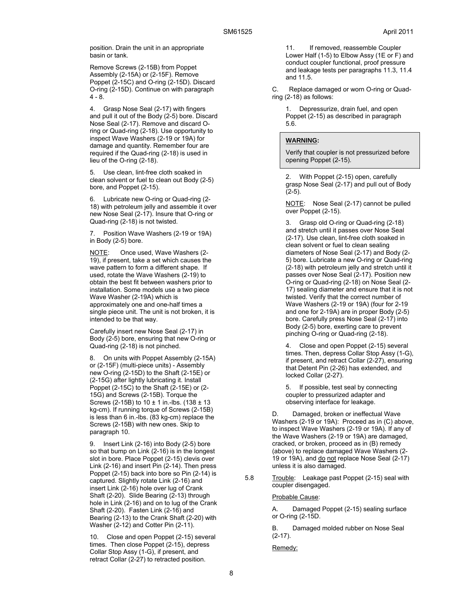position. Drain the unit in an appropriate basin or tank.

Remove Screws (2-15B) from Poppet Assembly (2-15A) or (2-15F). Remove Poppet (2-15C) and O-ring (2-15D). Discard O-ring (2-15D). Continue on with paragraph 4 - 8.

4. Grasp Nose Seal (2-17) with fingers and pull it out of the Body (2-5) bore. Discard Nose Seal (2-17). Remove and discard Oring or Quad-ring (2-18). Use opportunity to inspect Wave Washers (2-19 or 19A) for damage and quantity. Remember four are required if the Quad-ring (2-18) is used in lieu of the O-ring (2-18).

5. Use clean, lint-free cloth soaked in clean solvent or fuel to clean out Body (2-5) bore, and Poppet (2-15).

6. Lubricate new O-ring or Quad-ring (2- 18) with petroleum jelly and assemble it over new Nose Seal (2-17). Insure that O-ring or Quad-ring (2-18) is not twisted.

7. Position Wave Washers (2-19 or 19A) in Body (2-5) bore.

NOTE: Once used, Wave Washers (2-19), if present, take a set which causes the wave pattern to form a different shape. If used, rotate the Wave Washers (2-19) to obtain the best fit between washers prior to installation. Some models use a two piece Wave Washer (2-19A) which is approximately one and one-half times a single piece unit. The unit is not broken, it is intended to be that way.

Carefully insert new Nose Seal (2-17) in Body (2-5) bore, ensuring that new O-ring or Quad-ring (2-18) is not pinched.

8. On units with Poppet Assembly (2-15A) or (2-15F) (multi-piece units) - Assembly new O-ring (2-15D) to the Shaft (2-15E) or (2-15G) after lightly lubricating it. Install Poppet (2-15C) to the Shaft (2-15E) or (2- 15G) and Screws (2-15B). Torque the Screws (2-15B) to 10 ± 1 in.-lbs. (138 ± 13 kg-cm). If running torque of Screws (2-15B) is less than 6 in.-lbs. (83 kg-cm) replace the Screws (2-15B) with new ones. Skip to paragraph 10.

9. Insert Link (2-16) into Body (2-5) bore so that bump on Link (2-16) is in the longest slot in bore. Place Poppet (2-15) clevis over Link (2-16) and insert Pin (2-14). Then press Poppet (2-15) back into bore so Pin (2-14) is captured. Slightly rotate Link (2-16) and insert Link (2-16) hole over lug of Crank Shaft (2-20). Slide Bearing (2-13) through hole in Link (2-16) and on to lug of the Crank Shaft (2-20). Fasten Link (2-16) and Bearing (2-13) to the Crank Shaft (2-20) with Washer (2-12) and Cotter Pin (2-11).

10. Close and open Poppet (2-15) several times. Then close Poppet (2-15), depress Collar Stop Assy (1-G), if present, and retract Collar (2-27) to retracted position.

11. If removed, reassemble Coupler Lower Half (1-5) to Elbow Assy (1E or F) and conduct coupler functional, proof pressure and leakage tests per paragraphs 11.3, 11.4 and 11.5.

C. Replace damaged or worn O-ring or Quadring (2-18) as follows:

1. Depressurize, drain fuel, and open Poppet (2-15) as described in paragraph 5.6.

#### **WARNING:**

Verify that coupler is not pressurized before opening Poppet (2-15).

2. With Poppet (2-15) open, carefully grasp Nose Seal (2-17) and pull out of Body (2-5).

NOTE: Nose Seal (2-17) cannot be pulled over Poppet (2-15).

3. Grasp old O-ring or Quad-ring (2-18) and stretch until it passes over Nose Seal (2-17). Use clean, lint-free cloth soaked in clean solvent or fuel to clean sealing diameters of Nose Seal (2-17) and Body (2- 5) bore. Lubricate a new O-ring or Quad-ring (2-18) with petroleum jelly and stretch until it passes over Nose Seal (2-17). Position new O-ring or Quad-ring (2-18) on Nose Seal (2- 17) sealing diameter and ensure that it is not twisted. Verify that the correct number of Wave Washers (2-19 or 19A) (four for 2-19 and one for 2-19A) are in proper Body (2-5) bore. Carefully press Nose Seal (2-17) into Body (2-5) bore, exerting care to prevent pinching O-ring or Quad-ring (2-18).

4. Close and open Poppet (2-15) several times. Then, depress Collar Stop Assy (1-G), if present, and retract Collar (2-27), ensuring that Detent Pin (2-26) has extended, and locked Collar (2-27).

5. If possible, test seal by connecting coupler to pressurized adapter and observing interface for leakage.

D. Damaged, broken or ineffectual Wave Washers (2-19 or 19A): Proceed as in (C) above, to inspect Wave Washers (2-19 or 19A). If any of the Wave Washers (2-19 or 19A) are damaged, cracked, or broken, proceed as in (B) remedy (above) to replace damaged Wave Washers (2- 19 or 19A), and do not replace Nose Seal (2-17) unless it is also damaged.

5.8 Trouble: Leakage past Poppet (2-15) seal with coupler disengaged.

Probable Cause:

A. Damaged Poppet (2-15) sealing surface or O-ring (2-15D.

B. Damaged molded rubber on Nose Seal  $(2-17)$ .

Remedy: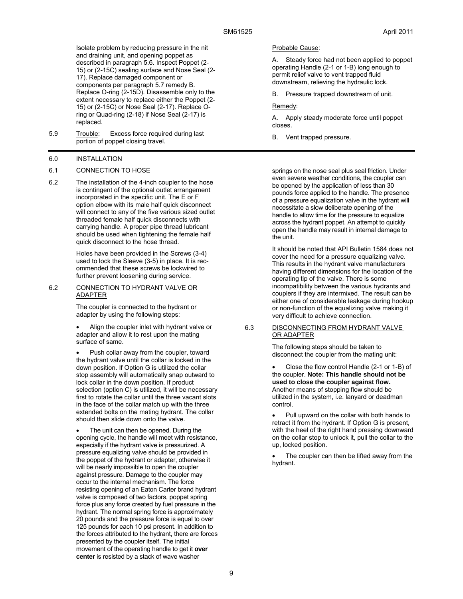Isolate problem by reducing pressure in the nit and draining unit, and opening poppet as described in paragraph 5.6. Inspect Poppet (2- 15) or (2-15C) sealing surface and Nose Seal (2- 17). Replace damaged component or components per paragraph 5.7 remedy B. Replace O-ring (2-15D). Disassemble only to the extent necessary to replace either the Poppet (2- 15) or (2-15C) or Nose Seal (2-17). Replace Oring or Quad-ring (2-18) if Nose Seal (2-17) is replaced.

5.9 Trouble: Excess force required during last portion of poppet closing travel.

### 6.0 INSTALLATION

#### 6.1 CONNECTION TO HOSE

6.2 The installation of the 4-inch coupler to the hose is contingent of the optional outlet arrangement incorporated in the specific unit. The E or F option elbow with its male half quick disconnect will connect to any of the five various sized outlet threaded female half quick disconnects with carrying handle. A proper pipe thread lubricant should be used when tightening the female half quick disconnect to the hose thread.

> Holes have been provided in the Screws (3-4) used to lock the Sleeve (3-5) in place. It is recommended that these screws be lockwired to further prevent loosening during service.

#### 6.2 CONNECTION TO HYDRANT VALVE OR ADAPTER

The coupler is connected to the hydrant or adapter by using the following steps:

 Align the coupler inlet with hydrant valve or adapter and allow it to rest upon the mating surface of same.

 Push collar away from the coupler, toward the hydrant valve until the collar is locked in the down position. If Option G is utilized the collar stop assembly will automatically snap outward to lock collar in the down position. If product selection (option C) is utilized, it will be necessary first to rotate the collar until the three vacant slots in the face of the collar match up with the three extended bolts on the mating hydrant. The collar should then slide down onto the valve.

 The unit can then be opened. During the opening cycle, the handle will meet with resistance, especially if the hydrant valve is pressurized. A pressure equalizing valve should be provided in the poppet of the hydrant or adapter, otherwise it will be nearly impossible to open the coupler against pressure. Damage to the coupler may occur to the internal mechanism. The force resisting opening of an Eaton Carter brand hydrant valve is composed of two factors, poppet spring force plus any force created by fuel pressure in the hydrant. The normal spring force is approximately 20 pounds and the pressure force is equal to over 125 pounds for each 10 psi present. In addition to the forces attributed to the hydrant, there are forces presented by the coupler itself. The initial movement of the operating handle to get it **over center** is resisted by a stack of wave washer

#### Probable Cause:

A. Steady force had not been applied to poppet operating Handle (2-1 or 1-B) long enough to permit relief valve to vent trapped fluid downstream, relieving the hydraulic lock.

B. Pressure trapped downstream of unit.

#### Remedy:

A. Apply steady moderate force until poppet closes.

B. Vent trapped pressure.

springs on the nose seal plus seal friction. Under even severe weather conditions, the coupler can be opened by the application of less than 30 pounds force applied to the handle. The presence of a pressure equalization valve in the hydrant will necessitate a slow deliberate opening of the handle to allow time for the pressure to equalize across the hydrant poppet. An attempt to quickly open the handle may result in internal damage to the unit.

It should be noted that API Bulletin 1584 does not cover the need for a pressure equalizing valve. This results in the hydrant valve manufacturers having different dimensions for the location of the operating tip of the valve. There is some incompatibility between the various hydrants and couplers if they are intermixed. The result can be either one of considerable leakage during hookup or non-function of the equalizing valve making it very difficult to achieve connection.

#### 6.3 DISCONNECTING FROM HYDRANT VALVE OR ADAPTER

The following steps should be taken to disconnect the coupler from the mating unit:

 Close the flow control Handle (2-1 or 1-B) of the coupler. **Note: This handle should not be used to close the coupler against flow.** Another means of stopping flow should be utilized in the system, i.e. lanyard or deadman control.

 Pull upward on the collar with both hands to retract it from the hydrant. If Option G is present, with the heel of the right hand pressing downward on the collar stop to unlock it, pull the collar to the up, locked position.

 The coupler can then be lifted away from the hydrant.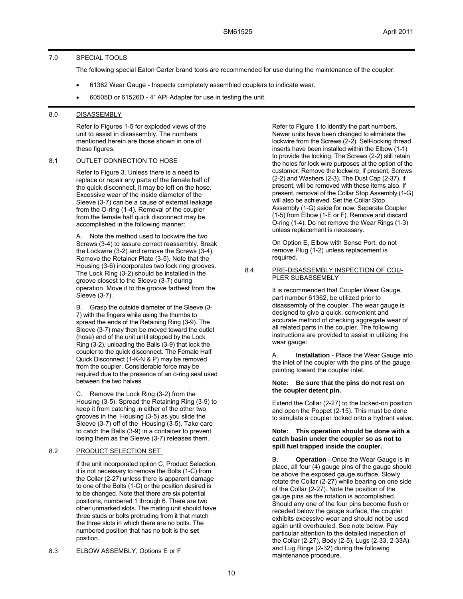### 7.0 SPECIAL TOOLS

The following special Eaton Carter brand tools are recommended for use during the maintenance of the coupler:

- 61362 Wear Gauge Inspects completely assembled couplers to indicate wear.
- 60505D or 61526D 4" API Adapter for use in testing the unit.

### 8.0 DISASSEMBLY

Refer to Figures 1-5 for exploded views of the unit to assist in disassembly. The numbers mentioned herein are those shown in one of these figures.

### 8.1 OUTLET CONNECTION TO HOSE

Refer to Figure 3. Unless there is a need to replace or repair any parts of the female half of the quick disconnect, it may be left on the hose. Excessive wear of the inside diameter of the Sleeve (3-7) can be a cause of external leakage from the O-ring (1-4). Removal of the coupler from the female half quick disconnect may be accomplished in the following manner:

A. Note the method used to lockwire the two Screws (3-4) to assure correct reassembly. Break the Lockwire (3-2) and remove the Screws (3-4). Remove the Retainer Plate (3-5). Note that the Housing (3-6) incorporates two lock ring grooves. The Lock Ring (3-2) should be installed in the groove closest to the Sleeve (3-7) during operation. Move it to the groove farthest from the Sleeve (3-7).

B. Grasp the outside diameter of the Sleeve (3- 7) with the fingers while using the thumbs to spread the ends of the Retaining Ring (3-9). The Sleeve (3-7) may then be moved toward the outlet (hose) end of the unit until stopped by the Lock Ring (3-2), unloading the Balls (3-9) that lock the coupler to the quick disconnect. The Female Half Quick Disconnect (1-K-N & P) may be removed from the coupler. Considerable force may be required due to the presence of an o-ring seal used between the two halves.

C. Remove the Lock Ring (3-2) from the Housing (3-5). Spread the Retaining Ring (3-9) to keep it from catching in either of the other two grooves in the Housing (3-5) as you slide the Sleeve (3-7) off of the Housing (3-5). Take care to catch the Balls (3-9) in a container to prevent losing them as the Sleeve (3-7) releases them.

### 8.2 PRODUCT SELECTION SET

If the unit incorporated option C, Product Selection, it is not necessary to remove the Bolts (1-C) from the Collar (2-27) unless there is apparent damage to one of the Bolts (1-C) or the position desired is to be changed. Note that there are six potential positions, numbered 1 through 6. There are two other unmarked slots. The mating unit should have three studs or bolts protruding from it that match the three slots in which there are no bolts. The numbered position that has no bolt is the **set** position.

8.3 ELBOW ASSEMBLY, Options E or F

Refer to Figure 1 to identify the part numbers. Newer units have been changed to eliminate the lockwire from the Screws (2-2). Self-locking thread inserts have been installed within the Elbow (1-1) to provide the locking. The Screws (2-2) still retain the holes for lock wire purposes at the option of the customer. Remove the lockwire, if present, Screws (2-2) and Washers (2-3). The Dust Cap (2-37), if present, will be removed with these items also. If present, removal of the Collar Stop Assembly (1-G) will also be achieved. Set the Collar Stop Assembly (1-G) aside for now. Separate Coupler (1-5) from Elbow (1-E or F). Remove and discard O-ring (1-4). Do not remove the Wear Rings (1-3) unless replacement is necessary.

On Option E, Elbow with Sense Port, do not remove Plug (1-2) unless replacement is required.

8.4 PRE-DISASSEMBLY INSPECTION OF COU-PLER SUBASSEMBLY

> It is recommended that Coupler Wear Gauge, part number 61362, be utilized prior to disassembly of the coupler. The wear gauge is designed to give a quick, convenient and accurate method of checking aggregate wear of all related parts in the coupler. The following instructions are provided to assist in utilizing the wear gauge:

A. **Installation** - Place the Wear Gauge into the inlet of the coupler with the pins of the gauge pointing toward the coupler inlet.

### **Note: Be sure that the pins do not rest on the coupler detent pin.**

Extend the Collar (2-27) to the locked-on position and open the Poppet (2-15). This must be done to simulate a coupler locked onto a hydrant valve.

#### **Note: This operation should be done with a catch basin under the coupler so as not to spill fuel trapped inside the coupler.**

B. **Operation** - Once the Wear Gauge is in place, all four (4) gauge pins of the gauge should be above the exposed gauge surface. Slowly rotate the Collar (2-27) while bearing on one side of the Collar (2-27). Note the position of the gauge pins as the rotation is accomplished. Should any one of the four pins become flush or receded below the gauge surface, the coupler exhibits excessive wear and should not be used again until overhauled. See note below. Pay particular attention to the detailed inspection of the Collar (2-27), Body (2-5), Lugs (2-33, 2-33A) and Lug Rings (2-32) during the following maintenance procedure.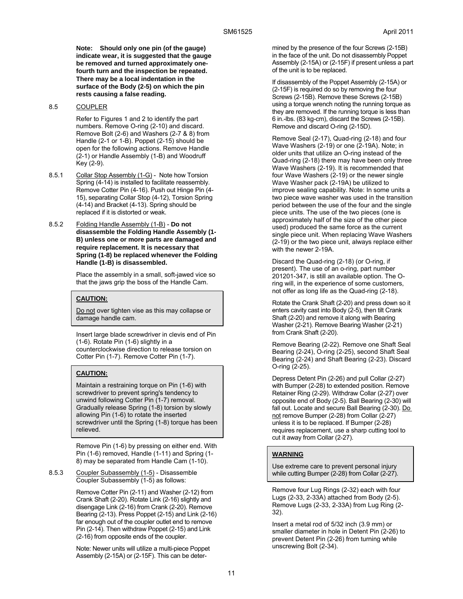**Note: Should only one pin (of the gauge) indicate wear, it is suggested that the gauge be removed and turned approximately onefourth turn and the inspection be repeated. There may be a local indentation in the surface of the Body (2-5) on which the pin rests causing a false reading.**

### 8.5 COUPLER

Refer to Figures 1 and 2 to identify the part numbers. Remove O-ring (2-10) and discard. Remove Bolt (2-6) and Washers (2-7 & 8) from Handle (2-1 or 1-B). Poppet (2-15) should be open for the following actions. Remove Handle (2-1) or Handle Assembly (1-B) and Woodruff Key (2-9).

- 8.5.1 Collar Stop Assembly (1-G) Note how Torsion Spring (4-14) is installed to facilitate reassembly. Remove Cotter Pin (4-16). Push out Hinge Pin (4- 15), separating Collar Stop (4-12), Torsion Spring (4-14) and Bracket (4-13). Spring should be replaced if it is distorted or weak.
- 8.5.2 Folding Handle Assembly (1-B) **Do not disassemble the Folding Handle Assembly (1- B) unless one or more parts are damaged and require replacement. It is necessary that Spring (1-8) be replaced whenever the Folding Handle (1-B) is disassembled.**

Place the assembly in a small, soft-jawed vice so that the jaws grip the boss of the Handle Cam.

### **CAUTION:**

Do not over tighten vise as this may collapse or damage handle cam.

Insert large blade screwdriver in clevis end of Pin (1-6). Rotate Pin (1-6) slightly in a counterclockwise direction to release torsion on Cotter Pin (1-7). Remove Cotter Pin (1-7).

### **CAUTION:**

Maintain a restraining torque on Pin (1-6) with screwdriver to prevent spring's tendency to unwind following Cotter Pin (1-7) removal. Gradually release Spring (1-8) torsion by slowly allowing Pin (1-6) to rotate the inserted screwdriver until the Spring (1-8) torque has been relieved.

Remove Pin (1-6) by pressing on either end. With Pin (1-6) removed, Handle (1-11) and Spring (1- 8) may be separated from Handle Cam (1-10).

8.5.3 Coupler Subassembly (1-5) - Disassemble Coupler Subassembly (1-5) as follows:

> Remove Cotter Pin (2-11) and Washer (2-12) from Crank Shaft (2-20). Rotate Link (2-16) slightly and disengage Link (2-16) from Crank (2-20). Remove Bearing (2-13). Press Poppet (2-15) and Link (2-16) far enough out of the coupler outlet end to remove Pin (2-14). Then withdraw Poppet (2-15) and Link (2-16) from opposite ends of the coupler.

Note: Newer units will utilize a multi-piece Poppet Assembly (2-15A) or (2-15F). This can be determined by the presence of the four Screws (2-15B) in the face of the unit. Do not disassembly Poppet Assembly (2-15A) or (2-15F) if present unless a part of the unit is to be replaced.

If disassembly of the Poppet Assembly (2-15A) or (2-15F) is required do so by removing the four Screws (2-15B). Remove these Screws (2-15B) using a torque wrench noting the running torque as they are removed. If the running torque is less than 6 in.-lbs. (83 kg-cm), discard the Screws (2-15B). Remove and discard O-ring (2-15D).

Remove Seal (2-17), Quad-ring (2-18) and four Wave Washers (2-19) or one (2-19A). Note; in older units that utilize an O-ring instead of the Quad-ring (2-18) there may have been only three Wave Washers (2-19). It is recommended that four Wave Washers (2-19) or the newer single Wave Washer pack (2-19A) be utilized to improve sealing capability. Note: In some units a two piece wave washer was used in the transition period between the use of the four and the single piece units. The use of the two pieces (one is approximately half of the size of the other piece used) produced the same force as the current single piece unit. When replacing Wave Washers (2-19) or the two piece unit, always replace either with the newer 2-19A.

Discard the Quad-ring (2-18) (or O-ring, if present). The use of an o-ring, part number 201201-347, is still an available option. The Oring will, in the experience of some customers, not offer as long life as the Quad-ring (2-18).

Rotate the Crank Shaft (2-20) and press down so it enters cavity cast into Body (2-5), then tilt Crank Shaft (2-20) and remove it along with Bearing Washer (2-21). Remove Bearing Washer (2-21) from Crank Shaft (2-20).

Remove Bearing (2-22). Remove one Shaft Seal Bearing (2-24), O-ring (2-25), second Shaft Seal Bearing (2-24) and Shaft Bearing (2-23). Discard O-ring (2-25).

Depress Detent Pin (2-26) and pull Collar (2-27) with Bumper (2-28) to extended position. Remove Retainer Ring (2-29). Withdraw Collar (2-27) over opposite end of Body (2-5). Ball Bearing (2-30) will fall out. Locate and secure Ball Bearing (2-30). Do not remove Bumper (2-28) from Collar (2-27) unless it is to be replaced. If Bumper (2-28) requires replacement, use a sharp cutting tool to cut it away from Collar (2-27).

### **WARNING**

Use extreme care to prevent personal injury while cutting Bumper (2-28) from Collar (2-27).

Remove four Lug Rings (2-32) each with four Lugs (2-33, 2-33A) attached from Body (2-5). Remove Lugs (2-33, 2-33A) from Lug Ring (2- 32).

Insert a metal rod of 5/32 inch (3.9 mm) or smaller diameter in hole in Detent Pin (2-26) to prevent Detent Pin (2-26) from turning while unscrewing Bolt (2-34).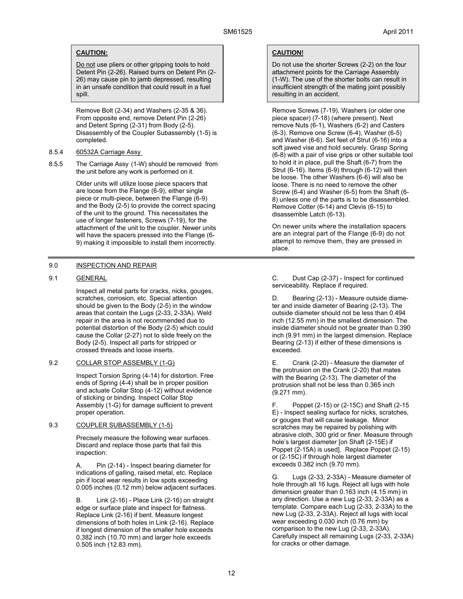### **CAUTION:**

Do not use pliers or other gripping tools to hold Detent Pin (2-26). Raised burrs on Detent Pin (2- 26) may cause pin to jamb depressed, resulting in an unsafe condition that could result in a fuel spill.

Remove Bolt (2-34) and Washers (2-35 & 36). From opposite end, remove Detent Pin (2-26) and Detent Spring (2-31) from Body (2-5). Disassembly of the Coupler Subassembly (1-5) is completed.

- 8.5.4 60532A Carriage Assy
- 8.5.5 The Carriage Assy (1-W) should be removed from the unit before any work is performed on it.

Older units will utilize loose piece spacers that are loose from the Flange (6-9), either single piece or multi-piece, between the Flange (6-9) and the Body (2-5) to provide the correct spacing of the unit to the ground. This necessitates the use of longer fasteners, Screws (7-19), for the attachment of the unit to the coupler. Newer units will have the spacers pressed into the Flange (6- 9) making it impossible to install them incorrectly.

### 9.0 INSPECTION AND REPAIR

### 9.1 GENERAL

Inspect all metal parts for cracks, nicks, gouges, scratches, corrosion, etc. Special attention should be given to the Body (2-5) in the window areas that contain the Lugs (2-33, 2-33A). Weld repair in the area is not recommended due to potential distortion of the Body (2-5) which could cause the Collar (2-27) not to slide freely on the Body (2-5). Inspect all parts for stripped or crossed threads and loose inserts.

### 9.2 COLLAR STOP ASSEMBLY (1-G)

Inspect Torsion Spring (4-14) for distortion. Free ends of Spring (4-4) shall be in proper position and actuate Collar Stop (4-12) without evidence of sticking or binding. Inspect Collar Stop Assembly (1-G) for damage sufficient to prevent proper operation.

### 9.3 COUPLER SUBASSEMBLY (1-5)

Precisely measure the following wear surfaces. Discard and replace those parts that fail this inspection:

A. Pin (2-14) - Inspect bearing diameter for indications of galling, raised metal, etc. Replace pin if local wear results in low spots exceeding 0.005 inches (0.12 mm) below adjacent surfaces.

B. Link (2-16) - Place Link (2-16) on straight edge or surface plate and inspect for flatness. Replace Link (2-16) if bent. Measure longest dimensions of both holes in Link (2-16). Replace if longest dimension of the smaller hole exceeds 0.382 inch (10.70 mm) and larger hole exceeds 0.505 inch (12.83 mm).

### **CAUTION!**

Do not use the shorter Screws (2-2) on the four attachment points for the Carriage Assembly (1-W). The use of the shorter bolts can result in insufficient strength of the mating joint possibly resulting in an accident.

Remove Screws (7-19), Washers (or older one piece spacer) (7-18) (where present). Next remove Nuts (6-1), Washers (6-2) and Casters (6-3). Remove one Screw (6-4), Washer (6-5) and Washer (6-6). Set feet of Strut (6-16) into a soft jawed vise and hold securely. Grasp Spring (6-8) with a pair of vise grips or other suitable tool to hold it in place, pull the Shaft (6-7) from the Strut (6-16). Items (6-9) through (6-12) will then be loose. The other Washers (6-6) will also be loose. There is no need to remove the other Screw (6-4) and Washer (6-5) from the Shaft (6- 8) unless one of the parts is to be disassembled. Remove Cotter (6-14) and Clevis (6-15) to disassemble Latch (6-13).

On newer units where the installation spacers are an integral part of the Flange (6-9) do not attempt to remove them, they are pressed in place.

C. Dust Cap (2-37) - Inspect for continued serviceability. Replace if required.

D. Bearing (2-13) - Measure outside diameter and inside diameter of Bearing (2-13). The outside diameter should not be less than 0.494 inch (12.55 mm) in the smallest dimension. The inside diameter should not be greater than 0.390 inch (9.91 mm) in the largest dimension. Replace Bearing (2-13) if either of these dimensions is exceeded.

E. Crank (2-20) - Measure the diameter of the protrusion on the Crank (2-20) that mates with the Bearing (2-13). The diameter of the protrusion shall not be less than 0.365 inch (9.271 mm).

F. Poppet (2-15) or (2-15C) and Shaft (2-15 E) - Inspect sealing surface for nicks, scratches, or gouges that will cause leakage. Minor scratches may be repaired by polishing with abrasive cloth, 300 grid or finer. Measure through hole's largest diameter [on Shaft (2-15E) if Poppet (2-15A) is used]. Replace Poppet (2-15) or (2-15C) if through hole largest diameter exceeds 0.382 inch (9.70 mm).

G. Lugs (2-33, 2-33A) - Measure diameter of hole through all 16 lugs. Reject all lugs with hole dimension greater than 0.163 inch (4.15 mm) in any direction. Use a new Lug (2-33, 2-33A) as a template. Compare each Lug (2-33, 2-33A) to the new Lug (2-33, 2-33A). Reject all lugs with local wear exceeding 0.030 inch (0.76 mm) by comparison to the new Lug (2-33, 2-33A). Carefully inspect all remaining Lugs (2-33, 2-33A) for cracks or other damage.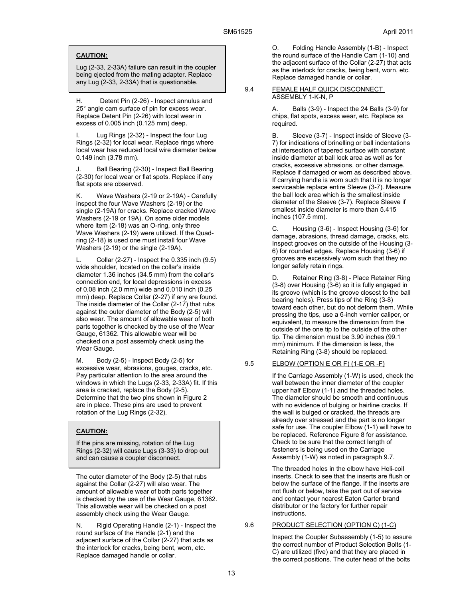### **CAUTION:**

Lug (2-33, 2-33A) failure can result in the coupler being ejected from the mating adapter. Replace any Lug (2-33, 2-33A) that is questionable.

H. Detent Pin (2-26) - Inspect annulus and 25° angle cam surface of pin for excess wear. Replace Detent Pin (2-26) with local wear in excess of 0.005 inch (0.125 mm) deep.

I. Lug Rings (2-32) - Inspect the four Lug Rings (2-32) for local wear. Replace rings where local wear has reduced local wire diameter below 0.149 inch (3.78 mm).

Ball Bearing (2-30) - Inspect Ball Bearing (2-30) for local wear or flat spots. Replace if any flat spots are observed.

K. Wave Washers (2-19 or 2-19A) - Carefully inspect the four Wave Washers (2-19) or the single (2-19A) for cracks. Replace cracked Wave Washers (2-19 or 19A). On some older models where item (2-18) was an O-ring, only three Wave Washers (2-19) were utilized. If the Quadring (2-18) is used one must install four Wave Washers (2-19) or the single (2-19A).

L. Collar (2-27) - Inspect the 0.335 inch (9.5) wide shoulder, located on the collar's inside diameter 1.36 inches (34.5 mm) from the collar's connection end, for local depressions in excess of 0.08 inch (2.0 mm) wide and 0.010 inch (0.25 mm) deep. Replace Collar (2-27) if any are found. The inside diameter of the Collar (2-17) that rubs against the outer diameter of the Body (2-5) will also wear. The amount of allowable wear of both parts together is checked by the use of the Wear Gauge, 61362. This allowable wear will be checked on a post assembly check using the Wear Gauge.

M. Body (2-5) - Inspect Body (2-5) for excessive wear, abrasions, gouges, cracks, etc. Pay particular attention to the area around the windows in which the Lugs (2-33, 2-33A) fit. If this area is cracked, replace the Body (2-5). Determine that the two pins shown in Figure 2 are in place. These pins are used to prevent rotation of the Lug Rings (2-32).

### **CAUTION:**

If the pins are missing, rotation of the Lug Rings (2-32) will cause Lugs (3-33) to drop out and can cause a coupler disconnect.

The outer diameter of the Body (2-5) that rubs against the Collar (2-27) will also wear. The amount of allowable wear of both parts together is checked by the use of the Wear Gauge, 61362. This allowable wear will be checked on a post assembly check using the Wear Gauge.

N. Rigid Operating Handle (2-1) - Inspect the round surface of the Handle (2-1) and the adjacent surface of the Collar (2-27) that acts as the interlock for cracks, being bent, worn, etc. Replace damaged handle or collar.

O. Folding Handle Assembly (1-B) - Inspect the round surface of the Handle Cam (1-10) and the adjacent surface of the Collar (2-27) that acts as the interlock for cracks, being bent, worn, etc. Replace damaged handle or collar.

#### 9.4 FEMALE HALF QUICK DISCONNECT ASSEMBLY 1-K-N, P

A. Balls (3-9) - Inspect the 24 Balls (3-9) for chips, flat spots, excess wear, etc. Replace as required.

B. Sleeve (3-7) - Inspect inside of Sleeve (3- 7) for indications of brinelling or ball indentations at intersection of tapered surface with constant inside diameter at ball lock area as well as for cracks, excessive abrasions, or other damage. Replace if damaged or worn as described above. If carrying handle is worn such that it is no longer serviceable replace entire Sleeve (3-7). Measure the ball lock area which is the smallest inside diameter of the Sleeve (3-7). Replace Sleeve if smallest inside diameter is more than 5.415 inches (107.5 mm).

C. Housing (3-6) - Inspect Housing (3-6) for damage, abrasions, thread damage, cracks, etc. Inspect grooves on the outside of the Housing (3- 6) for rounded edges. Replace Housing (3-6) if grooves are excessively worn such that they no longer safely retain rings.

D. Retainer Ring (3-8) - Place Retainer Ring (3-8) over Housing (3-6) so it is fully engaged in its groove (which is the groove closest to the ball bearing holes). Press tips of the Ring (3-8) toward each other, but do not deform them. While pressing the tips, use a 6-inch vernier caliper, or equivalent, to measure the dimension from the outside of the one tip to the outside of the other tip. The dimension must be 3.90 inches (99.1 mm) minimum. If the dimension is less, the Retaining Ring (3-8) should be replaced.

#### 9.5 ELBOW (OPTION E OR F) (1-E OR -F)

If the Carriage Assembly (1-W) is used, check the wall between the inner diameter of the coupler upper half Elbow (1-1) and the threaded holes. The diameter should be smooth and continuous with no evidence of bulging or hairline cracks. If the wall is bulged or cracked, the threads are already over stressed and the part is no longer safe for use. The coupler Elbow (1-1) will have to be replaced. Reference Figure 8 for assistance. Check to be sure that the correct length of fasteners is being used on the Carriage Assembly (1-W) as noted in paragraph 9.7.

The threaded holes in the elbow have Heli-coil inserts. Check to see that the inserts are flush or below the surface of the flange. If the inserts are not flush or below, take the part out of service and contact your nearest Eaton Carter brand distributor or the factory for further repair instructions.

### 9.6 PRODUCT SELECTION (OPTION C) (1-C)

Inspect the Coupler Subassembly (1-5) to assure the correct number of Product Selection Bolts (1- C) are utilized (five) and that they are placed in the correct positions. The outer head of the bolts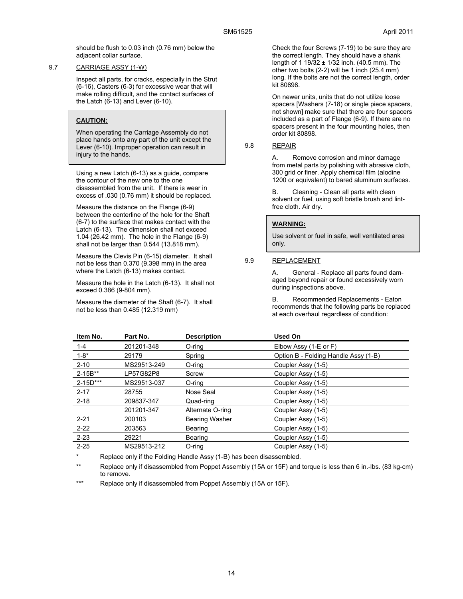should be flush to 0.03 inch (0.76 mm) below the adjacent collar surface.

#### 9.7 CARRIAGE ASSY (1-W)

Inspect all parts, for cracks, especially in the Strut (6-16), Casters (6-3) for excessive wear that will make rolling difficult, and the contact surfaces of the Latch (6-13) and Lever (6-10).

### **CAUTION:**

When operating the Carriage Assembly do not place hands onto any part of the unit except the Lever (6-10). Improper operation can result in injury to the hands.

Using a new Latch (6-13) as a guide, compare the contour of the new one to the one disassembled from the unit. If there is wear in excess of .030 (0.76 mm) it should be replaced.

Measure the distance on the Flange (6-9) between the centerline of the hole for the Shaft (6-7) to the surface that makes contact with the Latch (6-13). The dimension shall not exceed 1.04 (26.42 mm). The hole in the Flange (6-9) shall not be larger than 0.544 (13.818 mm).

Measure the Clevis Pin (6-15) diameter. It shall not be less than 0.370 (9.398 mm) in the area where the Latch (6-13) makes contact.

Measure the hole in the Latch (6-13). It shall not exceed 0.386 (9-804 mm).

Measure the diameter of the Shaft (6-7). It shall not be less than 0.485 (12.319 mm)

Check the four Screws (7-19) to be sure they are the correct length. They should have a shank length of 1 19/32 ± 1/32 inch. (40.5 mm). The other two bolts (2-2) will be 1 inch (25.4 mm) long. If the bolts are not the correct length, order kit 80898.

On newer units, units that do not utilize loose spacers [Washers (7-18) or single piece spacers, not shown] make sure that there are four spacers included as a part of Flange (6-9). If there are no spacers present in the four mounting holes, then order kit 80898.

### 9.8 REPAIR

A. Remove corrosion and minor damage from metal parts by polishing with abrasive cloth, 300 grid or finer. Apply chemical film (alodine 1200 or equivalent) to bared aluminum surfaces.

B. Cleaning - Clean all parts with clean solvent or fuel, using soft bristle brush and lintfree cloth. Air dry.

## **WARNING:**

Use solvent or fuel in safe, well ventilated area only.

### 9.9 REPLACEMENT

A. General - Replace all parts found damaged beyond repair or found excessively worn during inspections above.

B. Recommended Replacements - Eaton recommends that the following parts be replaced at each overhaul regardless of condition:

| Item No.     | Part No.    | <b>Description</b>    | Used On                              |
|--------------|-------------|-----------------------|--------------------------------------|
| $1 - 4$      | 201201-348  | O-ring                | Elbow Assy (1-E or F)                |
| $1 - 8^*$    | 29179       | Spring                | Option B - Folding Handle Assy (1-B) |
| $2 - 10$     | MS29513-249 | O-ring                | Coupler Assy (1-5)                   |
| $2 - 15B**$  | LP57G82P8   | Screw                 | Coupler Assy (1-5)                   |
| $2 - 15D***$ | MS29513-037 | O-rina                | Coupler Assy (1-5)                   |
| $2 - 17$     | 28755       | Nose Seal             | Coupler Assy (1-5)                   |
| $2 - 18$     | 209837-347  | Quad-ring             | Coupler Assy (1-5)                   |
|              | 201201-347  | Alternate O-ring      | Coupler Assy (1-5)                   |
| $2 - 21$     | 200103      | <b>Bearing Washer</b> | Coupler Assy (1-5)                   |
| $2 - 22$     | 203563      | Bearing               | Coupler Assy (1-5)                   |
| $2 - 23$     | 29221       | <b>Bearing</b>        | Coupler Assy (1-5)                   |
| $2 - 25$     | MS29513-212 | O-ring                | Coupler Assy (1-5)                   |

Replace only if the Folding Handle Assy (1-B) has been disassembled.

\*\* Replace only if disassembled from Poppet Assembly (15A or 15F) and torque is less than 6 in.-lbs. (83 kg-cm) to remove.

\*\*\* Replace only if disassembled from Poppet Assembly (15A or 15F).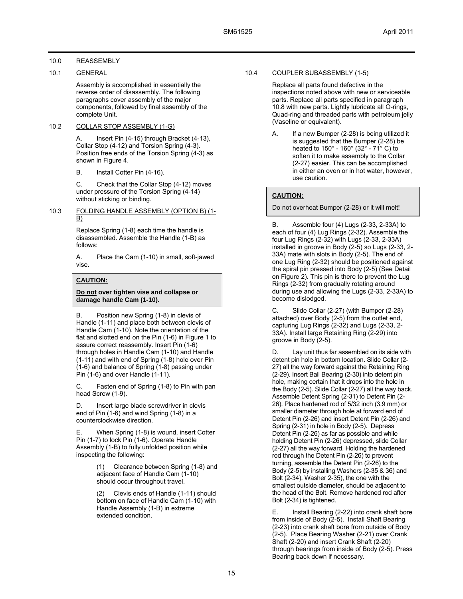### 10.0 REASSEMBLY

### 10.1 GENERAL

Assembly is accomplished in essentially the reverse order of disassembly. The following paragraphs cover assembly of the major components, followed by final assembly of the complete Unit.

### 10.2 COLLAR STOP ASSEMBLY (1-G)

A. Insert Pin (4-15) through Bracket (4-13), Collar Stop (4-12) and Torsion Spring (4-3). Position free ends of the Torsion Spring (4-3) as shown in Figure 4.

B. Install Cotter Pin (4-16).

C. Check that the Collar Stop (4-12) moves under pressure of the Torsion Spring (4-14) without sticking or binding.

### 10.3 FOLDING HANDLE ASSEMBLY (OPTION B) (1-  $\underline{B}$

Replace Spring (1-8) each time the handle is disassembled. Assemble the Handle (1-B) as follows:

A. Place the Cam (1-10) in small, soft-jawed vise.

### **CAUTION:**

### **Do not over tighten vise and collapse or damage handle Cam (1-10).**

B. Position new Spring (1-8) in clevis of Handle (1-11) and place both between clevis of Handle Cam (1-10). Note the orientation of the flat and slotted end on the Pin (1-6) in Figure 1 to assure correct reassembly. Insert Pin (1-6) through holes in Handle Cam (1-10) and Handle (1-11) and with end of Spring (1-8) hole over Pin (1-6) and balance of Spring (1-8) passing under Pin (1-6) and over Handle (1-11).

C. Fasten end of Spring (1-8) to Pin with pan head Screw (1-9).

D. Insert large blade screwdriver in clevis end of Pin (1-6) and wind Spring (1-8) in a counterclockwise direction.

E. When Spring (1-8) is wound, insert Cotter Pin (1-7) to lock Pin (1-6). Operate Handle Assembly (1-B) to fully unfolded position while inspecting the following:

> Clearance between Spring (1-8) and adjacent face of Handle Cam (1-10) should occur throughout travel.

> (2) Clevis ends of Handle (1-11) should bottom on face of Handle Cam (1-10) with Handle Assembly (1-B) in extreme extended condition.

### 10.4 COUPLER SUBASSEMBLY (1-5)

Replace all parts found defective in the inspections noted above with new or serviceable parts. Replace all parts specified in paragraph 10.8 with new parts. Lightly lubricate all O-rings, Quad-ring and threaded parts with petroleum jelly (Vaseline or equivalent).

A. If a new Bumper (2-28) is being utilized it is suggested that the Bumper (2-28) be heated to 150° - 160° (32° - 71° C) to soften it to make assembly to the Collar (2-27) easier. This can be accomplished in either an oven or in hot water, however, use caution.

### **CAUTION:**

Do not overheat Bumper (2-28) or it will melt!

B. Assemble four (4) Lugs (2-33, 2-33A) to each of four (4) Lug Rings (2-32). Assemble the four Lug Rings (2-32) with Lugs (2-33, 2-33A) installed in groove in Body (2-5) so Lugs (2-33, 2- 33A) mate with slots in Body (2-5). The end of one Lug Ring (2-32) should be positioned against the spiral pin pressed into Body (2-5) (See Detail on Figure 2). This pin is there to prevent the Lug Rings (2-32) from gradually rotating around during use and allowing the Lugs (2-33, 2-33A) to become dislodged.

C. Slide Collar (2-27) (with Bumper (2-28) attached) over Body (2-5) from the outlet end, capturing Lug Rings (2-32) and Lugs (2-33, 2- 33A). Install large Retaining Ring (2-29) into groove in Body (2-5).

D. Lay unit thus far assembled on its side with detent pin hole in bottom location. Slide Collar (2- 27) all the way forward against the Retaining Ring (2-29). Insert Ball Bearing (2-30) into detent pin hole, making certain that it drops into the hole in the Body (2-5). Slide Collar (2-27) all the way back. Assemble Detent Spring (2-31) to Detent Pin (2- 26). Place hardened rod of 5/32 inch (3.9 mm) or smaller diameter through hole at forward end of Detent Pin (2-26) and insert Detent Pin (2-26) and Spring (2-31) in hole in Body (2-5). Depress Detent Pin (2-26) as far as possible and while holding Detent Pin (2-26) depressed, slide Collar (2-27) all the way forward. Holding the hardened rod through the Detent Pin (2-26) to prevent turning, assemble the Detent Pin (2-26) to the Body (2-5) by installing Washers (2-35 & 36) and Bolt (2-34). Washer 2-35), the one with the smallest outside diameter, should be adjacent to the head of the Bolt. Remove hardened rod after Bolt (2-34) is tightened.

E. Install Bearing (2-22) into crank shaft bore from inside of Body (2-5). Install Shaft Bearing (2-23) into crank shaft bore from outside of Body (2-5). Place Bearing Washer (2-21) over Crank Shaft (2-20) and insert Crank Shaft (2-20) through bearings from inside of Body (2-5). Press Bearing back down if necessary.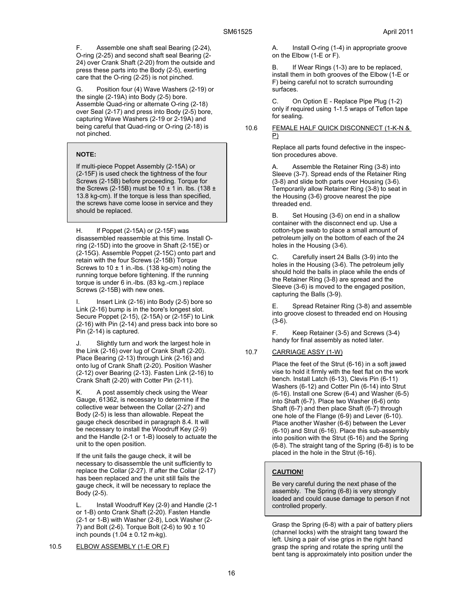F. Assemble one shaft seal Bearing (2-24), O-ring (2-25) and second shaft seal Bearing (2- 24) over Crank Shaft (2-20) from the outside and press these parts into the Body (2-5), exerting care that the O-ring (2-25) is not pinched.

Position four (4) Wave Washers (2-19) or the single (2-19A) into Body (2-5) bore. Assemble Quad-ring or alternate O-ring (2-18) over Seal (2-17) and press into Body (2-5) bore, capturing Wave Washers (2-19 or 2-19A) and being careful that Quad-ring or O-ring (2-18) is not pinched.

### **NOTE:**

If multi-piece Poppet Assembly (2-15A) or (2-15F) is used check the tightness of the four Screws (2-15B) before proceeding. Torque for the Screws (2-15B) must be  $10 \pm 1$  in. lbs. (138  $\pm$ 13.8 kg-cm). If the torque is less than specified, the screws have come loose in service and they should be replaced.

H. If Poppet (2-15A) or (2-15F) was disassembled reassemble at this time. Install Oring (2-15D) into the groove in Shaft (2-15E) or (2-15G). Assemble Poppet (2-15C) onto part and retain with the four Screws (2-15B) Torque Screws to  $10 \pm 1$  in.-lbs. (138 kg-cm) noting the running torque before tightening. If the running torque is under 6 in.-lbs. (83 kg.-cm.) replace Screws (2-15B) with new ones.

I. Insert Link (2-16) into Body (2-5) bore so Link (2-16) bump is in the bore's longest slot. Secure Poppet (2-15), (2-15A) or (2-15F) to Link (2-16) with Pin (2-14) and press back into bore so Pin (2-14) is captured.

J. Slightly turn and work the largest hole in the Link (2-16) over lug of Crank Shaft (2-20). Place Bearing (2-13) through Link (2-16) and onto lug of Crank Shaft (2-20). Position Washer (2-12) over Bearing (2-13). Fasten Link (2-16) to Crank Shaft (2-20) with Cotter Pin (2-11).

K. A post assembly check using the Wear Gauge, 61362, is necessary to determine if the collective wear between the Collar (2-27) and Body (2-5) is less than allowable. Repeat the gauge check described in paragraph 8.4. It will be necessary to install the Woodruff Key (2-9) and the Handle (2-1 or 1-B) loosely to actuate the unit to the open position.

If the unit fails the gauge check, it will be necessary to disassemble the unit sufficiently to replace the Collar (2-27). If after the Collar (2-17) has been replaced and the unit still fails the gauge check, it will be necessary to replace the Body (2-5).

L. Install Woodruff Key (2-9) and Handle (2-1 or 1-B) onto Crank Shaft (2-20). Fasten Handle (2-1 or 1-B) with Washer (2-8), Lock Washer (2- 7) and Bolt (2-6). Torque Bolt (2-6) to  $90 \pm 10$ inch pounds  $(1.04 \pm 0.12 \text{ m-kg})$ .

10.5 ELBOW ASSEMBLY (1-E OR F)

A. Install O-ring (1-4) in appropriate groove on the Elbow (1-E or F).

B. If Wear Rings (1-3) are to be replaced, install them in both grooves of the Elbow (1-E or F) being careful not to scratch surrounding surfaces.

C. On Option E - Replace Pipe Plug (1-2) only if required using 1-1.5 wraps of Teflon tape for sealing.

#### 10.6 FEMALE HALF QUICK DISCONNECT (1-K-N & P)

Replace all parts found defective in the inspection procedures above.

Assemble the Retainer Ring (3-8) into Sleeve (3-7). Spread ends of the Retainer Ring (3-8) and slide both parts over Housing (3-6). Temporarily allow Retainer Ring (3-8) to seat in the Housing (3-6) groove nearest the pipe threaded end.

B. Set Housing (3-6) on end in a shallow container with the disconnect end up. Use a cotton-type swab to place a small amount of petroleum jelly on the bottom of each of the 24 holes in the Housing (3-6).

C. Carefully insert 24 Balls (3-9) into the holes in the Housing (3-6). The petroleum jelly should hold the balls in place while the ends of the Retainer Ring (3-8) are spread and the Sleeve (3-6) is moved to the engaged position, capturing the Balls (3-9).

E. Spread Retainer Ring (3-8) and assemble into groove closest to threaded end on Housing (3-6).

F. Keep Retainer (3-5) and Screws (3-4) handy for final assembly as noted later.

### 10.7 CARRIAGE ASSY (1-W)

Place the feet of the Strut (6-16) in a soft jawed vise to hold it firmly with the feet flat on the work bench. Install Latch (6-13), Clevis Pin (6-11) Washers (6-12) and Cotter Pin (6-14) into Strut (6-16). Install one Screw (6-4) and Washer (6-5) into Shaft (6-7). Place two Washer (6-6) onto Shaft (6-7) and then place Shaft (6-7) through one hole of the Flange (6-9) and Lever (6-10). Place another Washer (6-6) between the Lever (6-10) and Strut (6-16). Place this sub-assembly into position with the Strut (6-16) and the Spring (6-8). The straight tang of the Spring (6-8) is to be placed in the hole in the Strut (6-16).

### **CAUTION!**

Be very careful during the next phase of the assembly. The Spring (6-8) is very strongly loaded and could cause damage to person if not controlled properly.

Grasp the Spring (6-8) with a pair of battery pliers (channel locks) with the straight tang toward the left. Using a pair of vise grips in the right hand grasp the spring and rotate the spring until the bent tang is approximately into position under the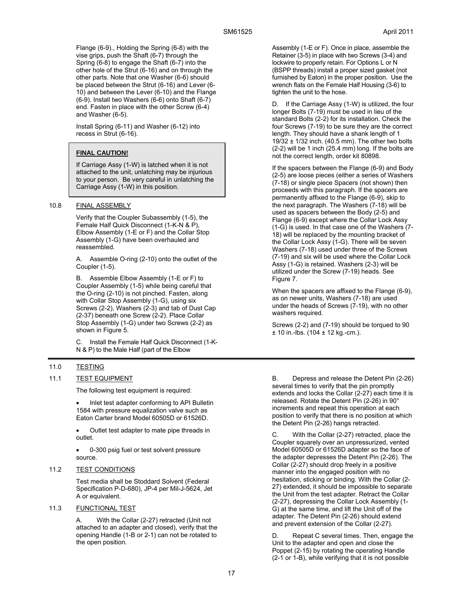Flange (6-9)., Holding the Spring (6-8) with the vise grips, push the Shaft (6-7) through the Spring (6-8) to engage the Shaft (6-7) into the other hole of the Strut (6-16) and on through the other parts. Note that one Washer (6-6) should be placed between the Strut (6-16) and Lever (6- 10) and between the Lever (6-10) and the Flange (6-9). Install two Washers (6-6) onto Shaft (6-7) end. Fasten in place with the other Screw (6-4) and Washer (6-5).

Install Spring (6-11) and Washer (6-12) into recess in Strut (6-16).

## **FINAL CAUTION!**

If Carriage Assy (1-W) is latched when it is not attached to the unit, unlatching may be injurious to your person. Be very careful in unlatching the Carriage Assy (1-W) in this position.

### 10.8 FINAL ASSEMBLY

Verify that the Coupler Subassembly (1-5), the Female Half Quick Disconnect (1-K-N & P), Elbow Assembly (1-E or F) and the Collar Stop Assembly (1-G) have been overhauled and reassembled.

A. Assemble O-ring (2-10) onto the outlet of the Coupler (1-5).

B. Assemble Elbow Assembly (1-E or F) to Coupler Assembly (1-5) while being careful that the O-ring (2-10) is not pinched. Fasten, along with Collar Stop Assembly (1-G), using six Screws (2-2), Washers (2-3) and tab of Dust Cap (2-37) beneath one Screw (2-2). Place Collar Stop Assembly (1-G) under two Screws (2-2) as shown in Figure 5.

C. Install the Female Half Quick Disconnect (1-K-N & P) to the Male Half (part of the Elbow

### 11.0 TESTING

### 11.1 TEST EQUIPMENT

The following test equipment is required:

 Inlet test adapter conforming to API Bulletin 1584 with pressure equalization valve such as Eaton Carter brand Model 60505D or 61526D.

 Outlet test adapter to mate pipe threads in outlet.

 0-300 psig fuel or test solvent pressure source.

### 11.2 TEST CONDITIONS

Test media shall be Stoddard Solvent (Federal Specification P-D-680), JP-4 per Mil-J-5624, Jet A or equivalent.

### 11.3 FUNCTIONAL TEST

A. With the Collar (2-27) retracted (Unit not attached to an adapter and closed), verify that the opening Handle (1-B or 2-1) can not be rotated to the open position.

Assembly (1-E or F). Once in place, assemble the Retainer (3-5) in place with two Screws (3-4) and lockwire to properly retain. For Options L or N (BSPP threads) install a proper sized gasket (not furnished by Eaton) in the proper position. Use the wrench flats on the Female Half Housing (3-6) to tighten the unit to the hose.

D. If the Carriage Assy (1-W) is utilized, the four longer Bolts (7-19) must be used in lieu of the standard Bolts (2-2) for its installation. Check the four Screws (7-19) to be sure they are the correct length. They should have a shank length of 1 19/32  $\pm$  1/32 inch. (40.5 mm). The other two bolts (2-2) will be 1 inch (25.4 mm) long. If the bolts are not the correct length, order kit 80898.

If the spacers between the Flange (6-9) and Body (2-5) are loose pieces (either a series of Washers (7-18) or single piece Spacers (not shown) then proceeds with this paragraph. If the spacers are permanently affixed to the Flange (6-9), skip to the next paragraph. The Washers (7-18) will be used as spacers between the Body (2-5) and Flange (6-9) except where the Collar Lock Assy (1-G) is used. In that case one of the Washers (7- 18) will be replaced by the mounting bracket of the Collar Lock Assy (1-G). There will be seven Washers (7-18) used under three of the Screws (7-19) and six will be used where the Collar Lock Assy (1-G) is retained. Washers (2-3) will be utilized under the Screw (7-19) heads. See Figure 7.

When the spacers are affixed to the Flange (6-9), as on newer units, Washers (7-18) are used under the heads of Screws (7-19), with no other washers required.

Screws (2-2) and (7-19) should be torqued to 90  $± 10$  in.-lbs. (104  $± 12$  kg.-cm.).

B. Depress and release the Detent Pin (2-26) several times to verify that the pin promptly extends and locks the Collar (2-27) each time it is released. Rotate the Detent Pin (2-26) in 90° increments and repeat this operation at each position to verify that there is no position at which the Detent Pin (2-26) hangs retracted.

With the Collar (2-27) retracted, place the Coupler squarely over an unpressurized, vented Model 60505D or 61526D adapter so the face of the adapter depresses the Detent Pin (2-26). The Collar (2-27) should drop freely in a positive manner into the engaged position with no hesitation, sticking or binding. With the Collar (2- 27) extended, it should be impossible to separate the Unit from the test adapter. Retract the Collar (2-27), depressing the Collar Lock Assembly (1- G) at the same time, and lift the Unit off of the adapter. The Detent Pin (2-26) should extend and prevent extension of the Collar (2-27).

D. Repeat C several times. Then, engage the Unit to the adapter and open and close the Poppet (2-15) by rotating the operating Handle (2-1 or 1-B), while verifying that it is not possible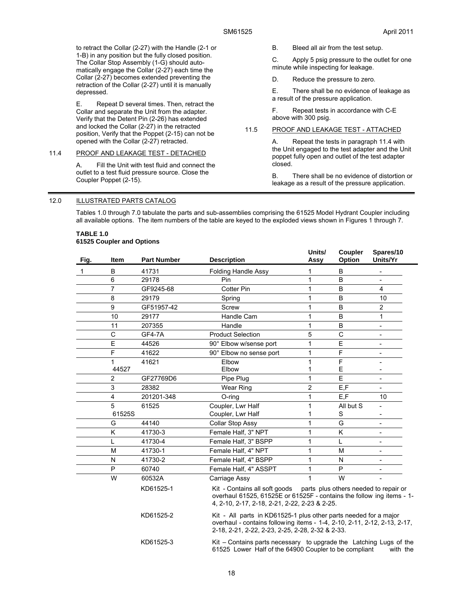to retract the Collar (2-27) with the Handle (2-1 or 1-B) in any position but the fully closed position. The Collar Stop Assembly (1-G) should automatically engage the Collar (2-27) each time the Collar (2-27) becomes extended preventing the retraction of the Collar (2-27) until it is manually depressed.

E. Repeat D several times. Then, retract the Collar and separate the Unit from the adapter. Verify that the Detent Pin (2-26) has extended and locked the Collar (2-27) in the retracted position, Verify that the Poppet (2-15) can not be opened with the Collar (2-27) retracted.

#### 11.4 PROOF AND LEAKAGE TEST - DETACHED

A. Fill the Unit with test fluid and connect the outlet to a test fluid pressure source. Close the Coupler Poppet (2-15).

B. Bleed all air from the test setup.

C. Apply 5 psig pressure to the outlet for one minute while inspecting for leakage.

D. Reduce the pressure to zero.

E. There shall be no evidence of leakage as a result of the pressure application.

F. Repeat tests in accordance with C-E above with 300 psig.

### 11.5 PROOF AND LEAKAGE TEST - ATTACHED

A. Repeat the tests in paragraph 11.4 with the Unit engaged to the test adapter and the Unit poppet fully open and outlet of the test adapter closed.

B. There shall be no evidence of distortion or leakage as a result of the pressure application.

#### 12.0 ILLUSTRATED PARTS CATALOG

Tables 1.0 through 7.0 tabulate the parts and sub-assemblies comprising the 61525 Model Hydrant Coupler including all available options. The item numbers of the table are keyed to the exploded views shown in Figures 1 through 7.

#### **TABLE 1.0 61525 Coupler and Options**

| Fig. | <b>Item</b>    | <b>Part Number</b> | <b>Description</b>                                                                                                                                                                               | Units/<br>Assy | Coupler<br>Option | Spares/10<br>Units/Yr    |  |
|------|----------------|--------------------|--------------------------------------------------------------------------------------------------------------------------------------------------------------------------------------------------|----------------|-------------------|--------------------------|--|
| 1    | B              | 41731              | <b>Folding Handle Assy</b>                                                                                                                                                                       | 1              | B                 |                          |  |
|      | $6\phantom{1}$ | 29178              | Pin                                                                                                                                                                                              | 1              | B                 |                          |  |
|      | $\overline{7}$ | GF9245-68          | <b>Cotter Pin</b>                                                                                                                                                                                | 1              | B                 | $\overline{4}$           |  |
|      | 8              | 29179              | Spring                                                                                                                                                                                           | 1              | B                 | 10                       |  |
|      | 9              | GF51957-42         | Screw                                                                                                                                                                                            | 1              | B                 | $\overline{2}$           |  |
|      | 10             | 29177              | Handle Cam                                                                                                                                                                                       | 1              | B                 | 1                        |  |
|      | 11             | 207355             | Handle                                                                                                                                                                                           | $\mathbf{1}$   | B                 | $\overline{\phantom{m}}$ |  |
|      | $\mathsf C$    | GF4-7A             | <b>Product Selection</b>                                                                                                                                                                         | 5              | C                 | $\frac{1}{2}$            |  |
|      | E              | 44526              | 90° Elbow w/sense port                                                                                                                                                                           | 1              | E                 | ۰                        |  |
|      | F              | 41622              | 90° Elbow no sense port                                                                                                                                                                          | $\mathbf{1}$   | F                 | $\overline{\phantom{a}}$ |  |
|      | 1              | 41621              | Elbow                                                                                                                                                                                            | 1              | F                 | $\overline{\phantom{0}}$ |  |
|      | 44527          |                    | Elbow                                                                                                                                                                                            | 1              | E                 |                          |  |
|      | $\overline{2}$ | GF27769D6          | Pipe Plug                                                                                                                                                                                        | 1              | E                 | $\blacksquare$           |  |
|      | 3              | 28382              | <b>Wear Ring</b>                                                                                                                                                                                 | $\overline{c}$ | E, F              | $\overline{a}$           |  |
|      | 4              | 201201-348         | O-ring                                                                                                                                                                                           | 1              | E,F               | 10                       |  |
|      | 5              | 61525              | Coupler, Lwr Half                                                                                                                                                                                | 1              | All but S         | $\overline{\phantom{0}}$ |  |
|      | 61525S         |                    | Coupler, Lwr Half                                                                                                                                                                                | 1              | S                 |                          |  |
|      | G              | 44140              | Collar Stop Assy                                                                                                                                                                                 | 1              | G                 |                          |  |
|      | K              | 41730-3            | Female Half, 3" NPT                                                                                                                                                                              | 1              | K                 | ÷,                       |  |
|      |                | 41730-4            | Female Half, 3" BSPP                                                                                                                                                                             | 1              | L                 | -                        |  |
|      | M              | 41730-1            | Female Half, 4" NPT                                                                                                                                                                              | 1              | M                 | $\overline{\phantom{a}}$ |  |
|      | N              | 41730-2            | Female Half, 4" BSPP                                                                                                                                                                             | 1              | N                 |                          |  |
|      | P              | 60740              | Female Half, 4" ASSPT                                                                                                                                                                            | 1              | P                 |                          |  |
|      | W              | 60532A             | Carriage Assy                                                                                                                                                                                    | 1              | W                 |                          |  |
|      |                | KD61525-1          | Kit - Contains all soft goods parts plus others needed to repair or<br>overhaul 61525, 61525E or 61525F - contains the follow ing items - 1-<br>4, 2-10, 2-17, 2-18, 2-21, 2-22, 2-23 & 2-25.    |                |                   |                          |  |
|      |                | KD61525-2          | Kit - All parts in KD61525-1 plus other parts needed for a major<br>overhaul - contains following items - 1-4, 2-10, 2-11, 2-12, 2-13, 2-17,<br>2-18, 2-21, 2-22, 2-23, 2-25, 2-28, 2-32 & 2-33. |                |                   |                          |  |
|      |                | KD61525-3          | Kit – Contains parts necessary to upgrade the Latching Lugs of the<br>61525 Lower Half of the 64900 Coupler to be compliant                                                                      |                |                   | with the                 |  |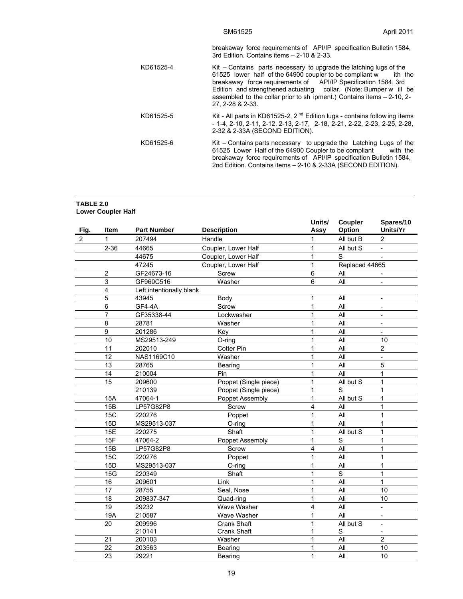breakaway force requirements of API/IP specification Bulletin 1584, 3rd Edition. Contains items – 2-10 & 2-33.

| KD61525-4 | Kit – Contains parts necessary to upgrade the latching lugs of the<br>61525 lower half of the 64900 coupler to be compliant w<br>ith the<br>breakaway force requirements of API/IP Specification 1584, 3rd<br>Edition and strengthened actuating collar. (Note: Bumper w ill be<br>assembled to the collar prior to sh ipment.) Contains items $-2-10$ , 2- |
|-----------|-------------------------------------------------------------------------------------------------------------------------------------------------------------------------------------------------------------------------------------------------------------------------------------------------------------------------------------------------------------|
|           | 27. 2-28 & 2-33.                                                                                                                                                                                                                                                                                                                                            |
| 17001F0F  | $17\mu$ All nearly in $17004505.0$ , $0.00$ Falilian lines contains following items.                                                                                                                                                                                                                                                                        |

KD61525-5 Kit - All parts in KD61525-2,  $2<sup>nd</sup>$  Edition lugs - contains following items - 1-4, 2-10, 2-11, 2-12, 2-13, 2-17, 2-18, 2-21, 2-22, 2-23, 2-25, 2-28, 2-32 & 2-33A (SECOND EDITION).

### **TABLE 2.0 Lower Coupler Half**

| Fig.           | <b>Item</b>             | <b>Part Number</b>       | <b>Description</b>     | Units/<br>Assy          | Coupler<br>Option | Spares/10<br>Units/Yr    |
|----------------|-------------------------|--------------------------|------------------------|-------------------------|-------------------|--------------------------|
| $\overline{2}$ | $\mathbf{1}$            | 207494                   | Handle                 | 1                       | All but B         | 2                        |
|                | $2 - 36$                | 44665                    | Coupler, Lower Half    | $\mathbf{1}$            | All but S         |                          |
|                |                         | 44675                    | Coupler, Lower Half    | $\mathbf{1}$            | S                 | $\sim$                   |
|                |                         | 47245                    | Coupler, Lower Half    | $\mathbf{1}$            | Replaced 44665    |                          |
|                | 2                       | GF24673-16               | <b>Screw</b>           | 6                       | All               |                          |
|                | 3                       | GF960C516                | Washer                 | 6                       | All               |                          |
|                | $\overline{\mathbf{4}}$ | Left intentionally blank |                        |                         |                   |                          |
|                | 5                       | 43945                    | Body                   | 1                       | All               | $\overline{a}$           |
|                | 6                       | GF4-4A                   | Screw                  | $\mathbf{1}$            | All               | $\blacksquare$           |
|                | 7                       | GF35338-44               | Lockwasher             | 1                       | All               | $\overline{\phantom{a}}$ |
|                | 8                       | 28781                    | Washer                 | 1                       | All               | $\blacksquare$           |
|                | 9                       | 201286                   | Key                    | $\mathbf{1}$            | All               |                          |
|                | 10                      | MS29513-249              | O-ring                 | $\mathbf{1}$            | All               | 10                       |
|                | 11                      | 202010                   | <b>Cotter Pin</b>      | $\mathbf{1}$            | All               | $\overline{2}$           |
|                | 12                      | NAS1169C10               | Washer                 | 1                       | All               |                          |
|                | 13                      | 28765                    | Bearing                | 1                       | All               | 5                        |
|                | 14                      | 210004                   | Pin                    | $\mathbf{1}$            | All               | 1                        |
|                | 15                      | 209600                   | Poppet (Single piece)  | $\mathbf{1}$            | All but S         | $\mathbf{1}$             |
|                |                         | 210139                   | Poppet (Single piece)  | $\mathbf{1}$            | $\mathsf{s}$      | 1                        |
|                | 15A                     | 47064-1                  | Poppet Assembly        | $\mathbf{1}$            | All but S         | 1                        |
|                | 15B                     | LP57G82P8                | <b>Screw</b>           | $\overline{\mathbf{4}}$ | All               | 1                        |
|                | <b>15C</b>              | 220276                   | Poppet                 | $\mathbf{1}$            | All               | 1                        |
|                | 15D                     | MS29513-037              | O-ring                 | $\mathbf{1}$            | All               | 1                        |
|                | 15E                     | 220275                   | Shaft                  | $\mathbf{1}$            | All but S         | 1                        |
|                | 15F                     | 47064-2                  | <b>Poppet Assembly</b> | $\mathbf{1}$            | $\mathsf{s}$      | 1                        |
|                | 15B                     | LP57G82P8                | Screw                  | $\overline{4}$          | All               | 1                        |
|                | 15C                     | 220276                   | Poppet                 | 1                       | All               | 1                        |
|                | 15D                     | MS29513-037              | O-ring                 | 1                       | All               | 1                        |
|                | 15G                     | 220349                   | Shaft                  | $\mathbf{1}$            | $\mathbf S$       | 1                        |
|                | 16                      | 209601                   | Link                   | 1                       | All               | 1                        |
|                | 17                      | 28755                    | Seal, Nose             | 1                       | All               | 10                       |
|                | 18                      | 209837-347               | Quad-ring              | 1                       | All               | 10                       |
|                | 19                      | 29232                    | Wave Washer            | 4                       | All               |                          |
|                | 19A                     | 210587                   | Wave Washer            | $\mathbf{1}$            | All               |                          |
|                | 20                      | 209996                   | Crank Shaft            | $\mathbf{1}$            | All but S         | ÷.                       |
|                |                         | 210141                   | Crank Shaft            | 1                       | S                 |                          |
|                | 21                      | 200103                   | Washer                 | $\mathbf{1}$            | All               | $\overline{2}$           |
|                | 22                      | 203563                   | Bearing                | $\mathbf{1}$            | All               | 10                       |
|                | 23                      | 29221                    | Bearing                | 1                       | All               | 10                       |

KD61525-6 Kit – Contains parts necessary to upgrade the Latching Lugs of the 61525 Lower Half of the 64900 Coupler to be compliant with the breakaway force requirements of API/IP specification Bulletin 1584, 2nd Edition. Contains items – 2-10 & 2-33A (SECOND EDITION).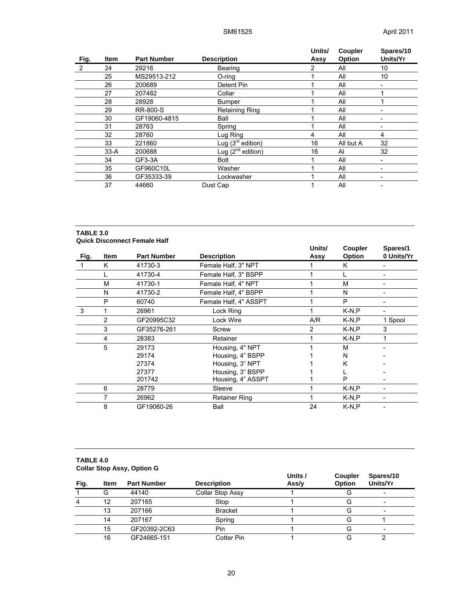|      |             |                    |                        | Units/ | Coupler   | Spares/10 |
|------|-------------|--------------------|------------------------|--------|-----------|-----------|
| Fig. | <b>Item</b> | <b>Part Number</b> | <b>Description</b>     | Assy   | Option    | Units/Yr  |
| 2    | 24          | 29216              | Bearing                | 2      | All       | 10        |
|      | 25          | MS29513-212        | O-ring                 |        | All       | 10        |
|      | 26          | 200689             | Detent Pin             |        | All       |           |
|      | 27          | 207482             | Collar                 |        | All       |           |
|      | 28          | 28928              | <b>Bumper</b>          |        | All       |           |
|      | 29          | <b>RR-800-S</b>    | Retaining Ring         |        | All       |           |
|      | 30          | GF19060-4815       | Ball                   |        | All       |           |
|      | 31          | 28763              | Spring                 |        | All       | -         |
|      | 32          | 28760              | Lug Ring               | 4      | All       | 4         |
|      | 33          | 221860             | Lug $(3rd$ edition)    | 16     | All but A | 32        |
|      | $33-A$      | 200688             | Lug $(2^{nd}$ edition) | 16     | Al        | 32        |
|      | 34          | GF3-3A             | <b>Bolt</b>            |        | All       |           |
|      | 35          | GF960C10L          | Washer                 |        | All       | ۰         |
|      | 36          | GF35333-39         | Lockwasher             |        | All       | -         |
|      | 37          | 44660              | Dust Cap               |        | All       |           |

### **TABLE 3.0 Quick Disconnect Female Half**

|      |              |                    |                       | Units/ | <b>Coupler</b> | Spares/1   |
|------|--------------|--------------------|-----------------------|--------|----------------|------------|
| Fig. | <b>Item</b>  | <b>Part Number</b> | <b>Description</b>    | Assy   | <b>Option</b>  | 0 Units/Yr |
|      | K<br>41730-3 |                    | Female Half, 3" NPT   |        | Κ              |            |
|      |              | 41730-4            | Female Half, 3" BSPP  |        |                |            |
|      | M            | 41730-1            | Female Half, 4" NPT   |        | м              |            |
|      | N            | 41730-2            | Female Half, 4" BSPP  |        | N              |            |
|      | P            | 60740              | Female Half, 4" ASSPT |        | P              |            |
| 3    | 1            | 26961              | Lock Ring             |        | $K-N.P$        |            |
|      | 2            | GF20995C32         | Lock Wire             | A/R    | $K-N.P$        | 1 Spool    |
|      | 3            | GF35276-261        | Screw                 | 2      | $K-N.P$        | 3          |
|      | 4            | 28383              | Retainer              |        | $K-N.P$        |            |
|      | 5            | 29173              | Housing, 4" NPT       |        | м              |            |
|      |              | 29174              | Housing, 4" BSPP      |        | N              |            |
|      |              | 27374              | Housing, 3" NPT       |        | Κ              |            |
|      |              | 27377              | Housing, 3" BSPP      |        |                |            |
|      |              | 201742             | Housing, 4" ASSPT     |        | P              |            |
|      | 6            | 28779              | Sleeve                |        | $K-N.P$        |            |
|      | 7            | 26962              | <b>Retainer Ring</b>  |        | $K-N.P$        |            |
|      | 8            | GF19060-26         | Ball                  | 24     | $K-N.P$        |            |

### **TABLE 4.0 Collar Stop Assy, Option G**

| Fig. | <b>Item</b> | <b>Part Number</b> | <b>Description</b> | Units /<br>Ass/y | Coupler<br>Option | Spares/10<br>Units/Yr |
|------|-------------|--------------------|--------------------|------------------|-------------------|-----------------------|
|      | G           | 44140              | Collar Stop Assy   |                  |                   |                       |
|      | 12          | 207165             | Stop               |                  |                   | -                     |
|      | 13          | 207166             | <b>Bracket</b>     |                  |                   | -                     |
|      | 14          | 207167             | Spring             |                  |                   |                       |
|      | 15          | GF20392-2C63       | Pin                |                  |                   |                       |
|      | 16          | GF24665-151        | Cotter Pin         |                  |                   |                       |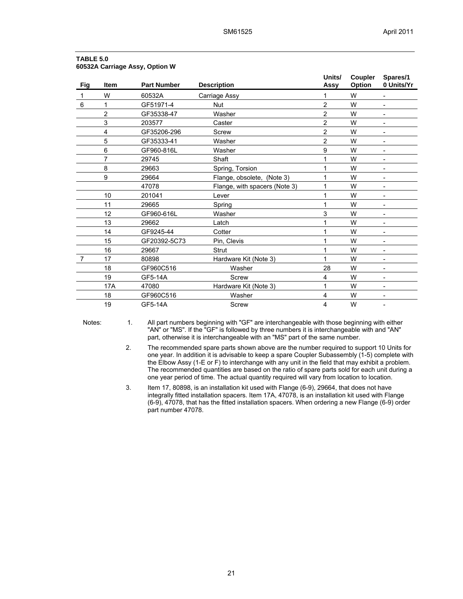| Fig | <b>Item</b>    | <b>Part Number</b> | <b>Description</b>            | Units/<br>Assy | Coupler<br>Option | Spares/1<br>0 Units/Yr   |
|-----|----------------|--------------------|-------------------------------|----------------|-------------------|--------------------------|
| 1   | W              | 60532A             | Carriage Assy                 | 1              | W                 |                          |
| 6   | 1              | GF51971-4          | <b>Nut</b>                    | $\overline{2}$ | W                 |                          |
|     | $\overline{2}$ | GF35338-47         | Washer                        | $\overline{2}$ | W                 |                          |
|     | 3              | 203577             | Caster                        | 2              | W                 |                          |
|     | 4              | GF35206-296        | <b>Screw</b>                  | $\overline{2}$ | W                 | ۰                        |
|     | 5              | GF35333-41         | Washer                        | $\overline{2}$ | W                 |                          |
|     | 6              | GF960-816L         | Washer                        | 9              | W                 | $\overline{a}$           |
|     | 7              | 29745              | Shaft                         |                | W                 | $\overline{\phantom{0}}$ |
|     | 8              | 29663              | Spring, Torsion               |                | W                 | $\overline{\phantom{0}}$ |
|     | 9              | 29664              | Flange, obsolete, (Note 3)    |                | W                 | $\overline{a}$           |
|     |                | 47078              | Flange, with spacers (Note 3) |                | W                 |                          |
|     | 10             | 201041             | Lever                         |                | W                 | ۰                        |
|     | 11             | 29665              | Spring                        |                | W                 | $\blacksquare$           |
|     | 12             | GF960-616L         | Washer                        | 3<br>W<br>W    |                   | ۰                        |
|     | 13             | 29662              | Latch                         |                |                   | ۰                        |
|     | 14             | GF9245-44          | Cotter                        |                | W                 | $\blacksquare$           |
|     | 15             | GF20392-5C73       | Pin, Clevis                   |                | W                 | ۰                        |
|     | 16             | 29667              | <b>Strut</b>                  |                | W                 | $\overline{\phantom{a}}$ |
| 7   | 17             | 80898              | Hardware Kit (Note 3)         |                | W                 | $\overline{\phantom{0}}$ |
|     | 18             | GF960C516          | Washer                        | 28             | W                 | $\overline{a}$           |
|     | 19             | GF5-14A            | <b>Screw</b>                  | 4              | W                 | $\overline{a}$           |
|     | 17A            | 47080              | Hardware Kit (Note 3)         | 1              | W                 |                          |
|     | 18             | GF960C516          | Washer                        | 4              | W                 |                          |
|     | 19             | GF5-14A            | <b>Screw</b>                  | 4              | W                 | ۰                        |

### **TABLE 5.0 60532A Carriage Assy, Option W**

Notes: 1. All part numbers beginning with "GF" are interchangeable with those beginning with either "AN" or "MS". If the "GF" is followed by three numbers it is interchangeable with and "AN" part, otherwise it is interchangeable with an "MS" part of the same number.

> 2. The recommended spare parts shown above are the number required to support 10 Units for one year. In addition it is advisable to keep a spare Coupler Subassembly (1-5) complete with the Elbow Assy (1-E or F) to interchange with any unit in the field that may exhibit a problem. The recommended quantities are based on the ratio of spare parts sold for each unit during a one year period of time. The actual quantity required will vary from location to location.

3. Item 17, 80898, is an installation kit used with Flange (6-9), 29664, that does not have integrally fitted installation spacers. Item 17A, 47078, is an installation kit used with Flange (6-9), 47078, that has the fitted installation spacers. When ordering a new Flange (6-9) order part number 47078.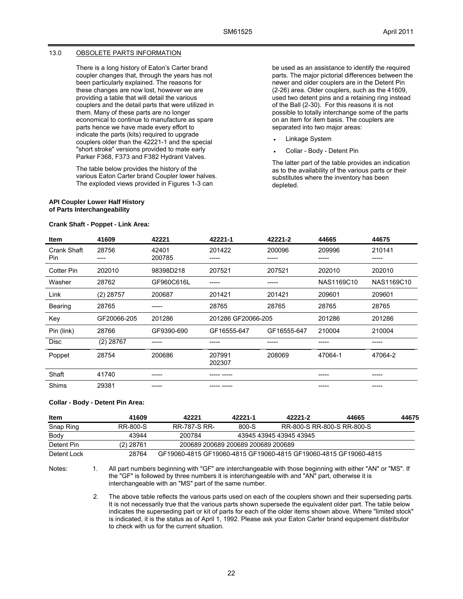#### 13.0 OBSOLETE PARTS INFORMATION

There is a long history of Eaton's Carter brand coupler changes that, through the years has not been particularly explained. The reasons for these changes are now lost, however we are providing a table that will detail the various couplers and the detail parts that were utilized in them. Many of these parts are no longer economical to continue to manufacture as spare parts hence we have made every effort to indicate the parts (kits) required to upgrade couplers older than the 42221-1 and the special "short stroke" versions provided to mate early Parker F368, F373 and F382 Hydrant Valves.

The table below provides the history of the various Eaton Carter brand Coupler lower halves. The exploded views provided in Figures 1-3 can

#### **API Coupler Lower Half History of Parts Interchangeability**

**Crank Shaft - Poppet - Link Area:** 

be used as an assistance to identify the required parts. The major pictorial differences between the newer and older couplers are in the Detent Pin (2-26) area. Older couplers, such as the 41609, used two detent pins and a retaining ring instead of the Ball (2-30). For this reasons it is not possible to totally interchange some of the parts on an item for item basis. The couplers are separated into two major areas:

- Linkage System
- Collar Body Detent Pin

The latter part of the table provides an indication as to the availability of the various parts or their substitutes where the inventory has been depleted.

| <b>Item</b>               | 41609         | 42221           | 42221-1            | 42221-2     | 44665      | 44675           |
|---------------------------|---------------|-----------------|--------------------|-------------|------------|-----------------|
| <b>Crank Shaft</b><br>Pin | 28756<br>---- | 42401<br>200785 | 201422             | 200096      | 209996     | 210141<br>----- |
| Cotter Pin                | 202010        | 98398D218       | 207521             | 207521      | 202010     | 202010          |
| Washer                    | 28762         | GF960C616L      | -----              | -----       | NAS1169C10 | NAS1169C10      |
| Link                      | $(2)$ 28757   | 200687          | 201421             | 201421      | 209601     | 209601          |
| Bearing                   | 28765         |                 | 28765              | 28765       | 28765      | 28765           |
| Key                       | GF20066-205   | 201286          | 201286 GF20066-205 |             | 201286     | 201286          |
| Pin (link)                | 28766         | GF9390-690      | GF16555-647        | GF16555-647 | 210004     | 210004          |
| <b>Disc</b>               | $(2)$ 28767   | -----           | -----              | -----       | -----      | -----           |
| Poppet                    | 28754         | 200686          | 207991<br>202307   | 208069      | 47064-1    | 47064-2         |
| Shaft                     | 41740         | -----           |                    |             | -----      | -----           |
| Shims                     | 29381         |                 |                    |             |            | -----           |

#### **Collar - Body - Detent Pin Area:**

| Item        | 41609       | 42221                                                            | 42221-1                            | 42221-2                    | 44665 | 44675 |
|-------------|-------------|------------------------------------------------------------------|------------------------------------|----------------------------|-------|-------|
| Snap Ring   | RR-800-S    | RR-787-S RR-                                                     | 800-S                              | RR-800-S RR-800-S RR-800-S |       |       |
| Body        | 43944       | 200784                                                           |                                    | 43945 43945 43945 43945    |       |       |
| Detent Pin  | $(2)$ 28761 |                                                                  | 200689 200689 200689 200689 200689 |                            |       |       |
| Detent Lock | 28764       | GF19060-4815 GF19060-4815 GF19060-4815 GF19060-4815 GF19060-4815 |                                    |                            |       |       |

Notes: 1. All part numbers beginning with "GF" are interchangeable with those beginning with either "AN" or "MS". If the "GF" is followed by three numbers it is interchangeable with and "AN" part, otherwise it is interchangeable with an "MS" part of the same number.

> 2. The above table reflects the various parts used on each of the couplers shown and their superseding parts. It is not necessarily true that the various parts shown supersede the equivalent older part. The table below indicates the superseding part or kit of parts for each of the older items shown above. Where "limited stock" is indicated, it is the status as of April 1, 1992. Please ask your Eaton Carter brand equipement distributor to check with us for the current situation.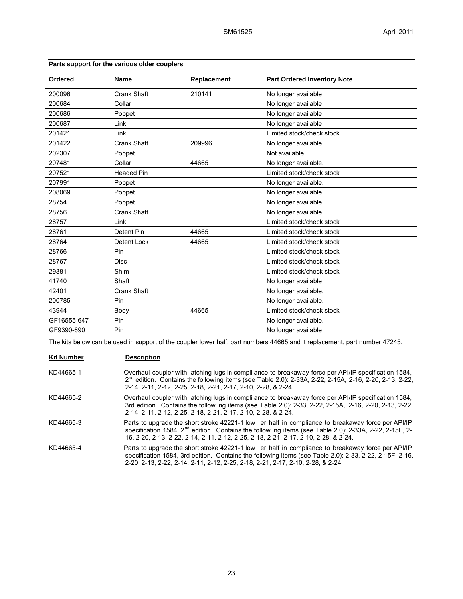| Ordered     | <b>Name</b>        | Replacement | <b>Part Ordered Inventory Note</b> |
|-------------|--------------------|-------------|------------------------------------|
| 200096      | Crank Shaft        | 210141      | No longer available                |
| 200684      | Collar             |             | No longer available                |
| 200686      | Poppet             |             | No longer available                |
| 200687      | Link               |             | No longer available                |
| 201421      | Link               |             | Limited stock/check stock          |
| 201422      | <b>Crank Shaft</b> | 209996      | No longer available                |
| 202307      | Poppet             |             | Not available.                     |
| 207481      | Collar             | 44665       | No longer available.               |
| 207521      | <b>Headed Pin</b>  |             | Limited stock/check stock          |
| 207991      | Poppet             |             | No longer available.               |
| 208069      | Poppet             |             | No longer available                |
| 28754       | Poppet             |             | No longer available                |
| 28756       | Crank Shaft        |             | No longer available                |
| 28757       | Link               |             | Limited stock/check stock          |
| 28761       | Detent Pin         | 44665       | Limited stock/check stock          |
| 28764       | <b>Detent Lock</b> | 44665       | Limited stock/check stock          |
| 28766       | Pin                |             | Limited stock/check stock          |
| 28767       | <b>Disc</b>        |             | Limited stock/check stock          |
| 29381       | Shim               |             | Limited stock/check stock          |
| 41740       | Shaft              |             | No longer available                |
| 42401       | <b>Crank Shaft</b> |             | No longer available.               |
| 200785      | Pin                |             | No longer available.               |
| 43944       | Body               | 44665       | Limited stock/check stock          |
| GF16555-647 | Pin                |             | No longer available.               |
| GF9390-690  | Pin                |             | No longer available                |

### **Parts support for the various older couplers**

The kits below can be used in support of the coupler lower half, part numbers 44665 and it replacement, part number 47245.

# **Kit Number Description**

| KD44665-1 | Overhaul coupler with latching lugs in compli ance to breakaway force per API/IP specification 1584,<br>$2nd$ edition. Contains the following items (see Table 2.0): 2-33A, 2-22, 2-15A, 2-16, 2-20, 2-13, 2-22,<br>2-14, 2-11, 2-12, 2-25, 2-18, 2-21, 2-17, 2-10, 2-28, & 2-24.                       |
|-----------|---------------------------------------------------------------------------------------------------------------------------------------------------------------------------------------------------------------------------------------------------------------------------------------------------------|
| KD44665-2 | Overhaul coupler with latching lugs in compli ance to breakaway force per API/IP specification 1584,<br>3rd edition. Contains the follow ing items (see Table 2.0): 2-33, 2-22, 2-15A, 2-16, 2-20, 2-13, 2-22,<br>2-14, 2-11, 2-12, 2-25, 2-18, 2-21, 2-17, 2-10, 2-28, & 2-24.                         |
| KD44665-3 | Parts to upgrade the short stroke 42221-1 low er half in compliance to breakaway force per API/IP<br>specification 1584, $2^{nd}$ edition. Contains the follow ing items (see Table 2.0): 2-33A, 2-22, 2-15F, 2-<br>16, 2-20, 2-13, 2-22, 2-14, 2-11, 2-12, 2-25, 2-18, 2-21, 2-17, 2-10, 2-28, & 2-24. |
| KD44665-4 | Parts to upgrade the short stroke 42221-1 low er half in compliance to breakaway force per API/IP<br>specification 1584, 3rd edition. Contains the following items (see Table 2.0): 2-33, 2-22, 2-15F, 2-16,<br>2-20, 2-13, 2-22, 2-14, 2-11, 2-12, 2-25, 2-18, 2-21, 2-17, 2-10, 2-28, & 2-24.         |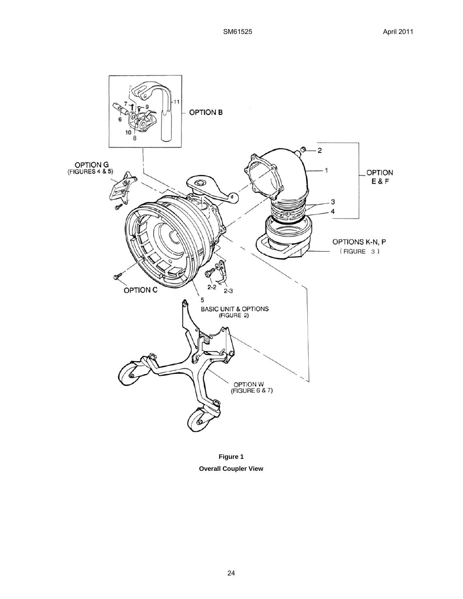

**Figure 1 Overall Coupler View**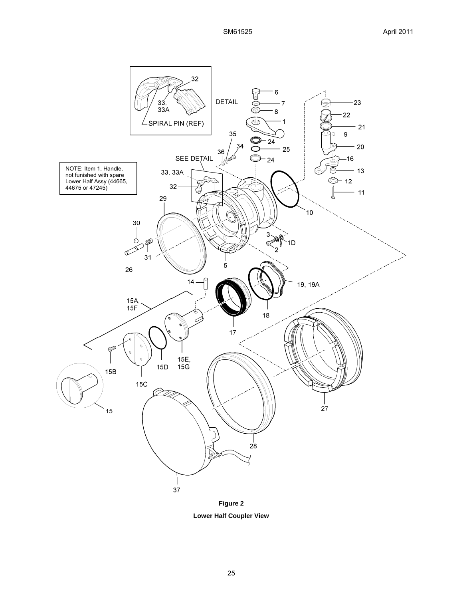

**Figure 2 Lower Half Coupler View**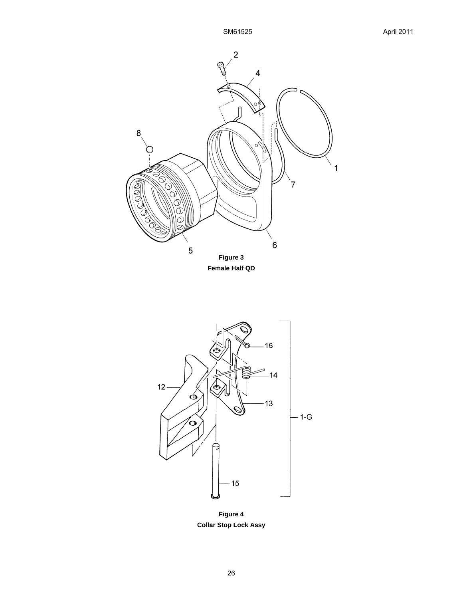



**Figure 4 Collar Stop Lock Assy**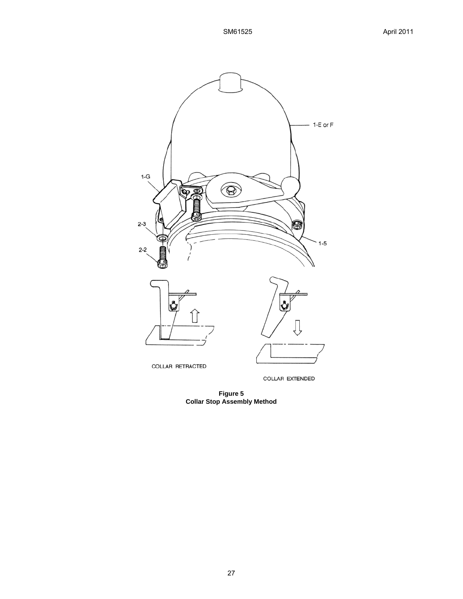

COLLAR EXTENDED

**Figure 5 Collar Stop Assembly Method**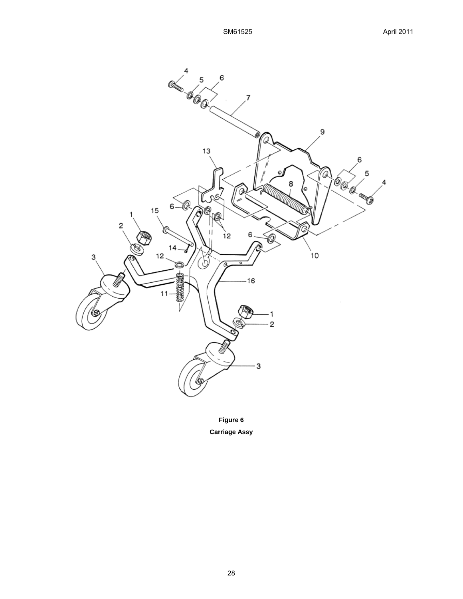

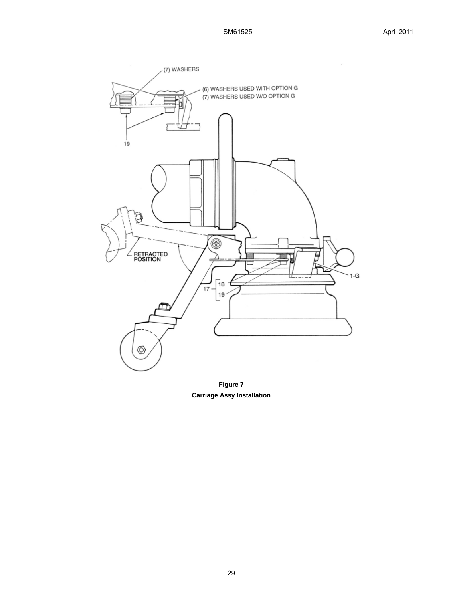

**Figure 7 Carriage Assy Installation**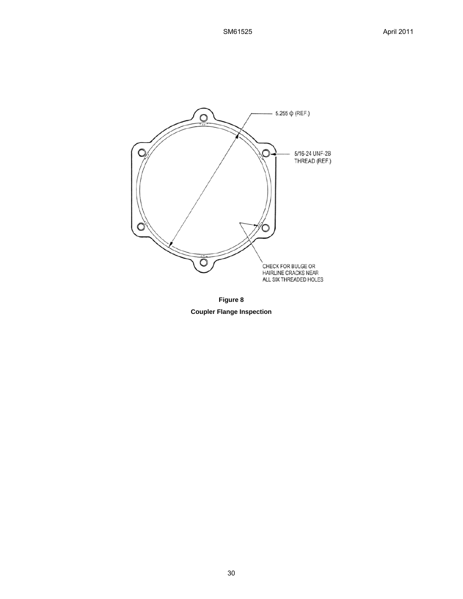

**Figure 8**